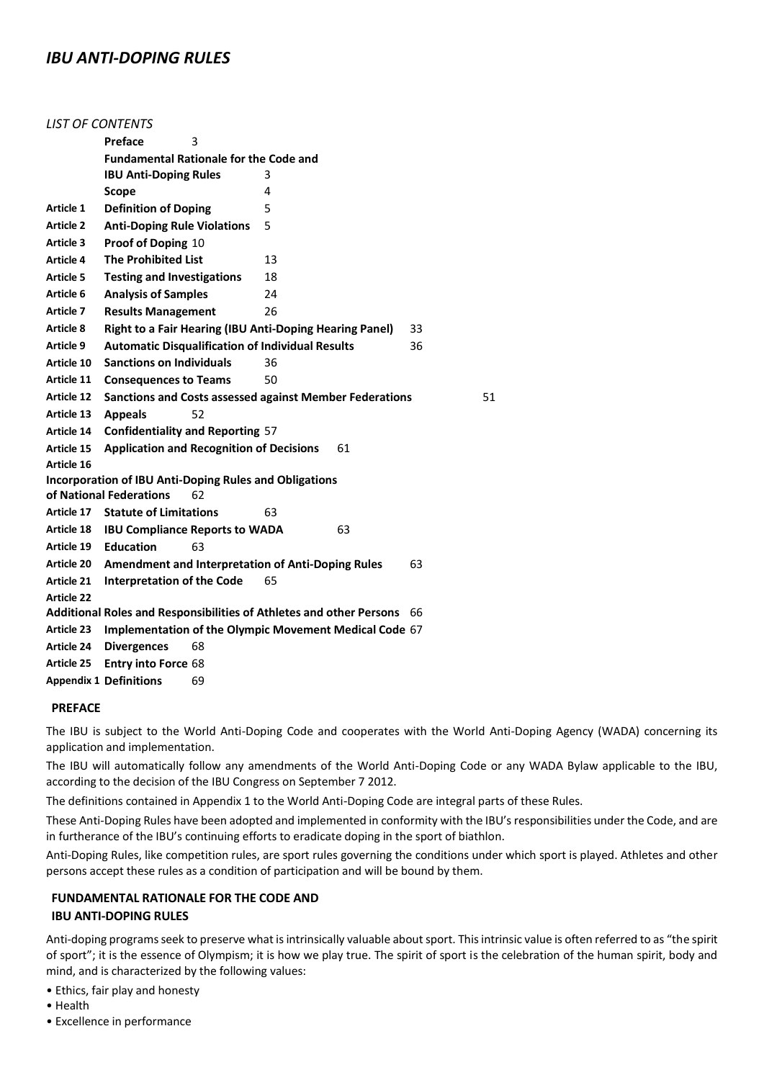# *IBU ANTI-DOPING RULES*

| <b>LIST OF CONTENTS</b>                                             |                                                                |  |    |    |    |    |
|---------------------------------------------------------------------|----------------------------------------------------------------|--|----|----|----|----|
|                                                                     | Preface<br>3                                                   |  |    |    |    |    |
|                                                                     | <b>Fundamental Rationale for the Code and</b>                  |  |    |    |    |    |
|                                                                     | <b>IBU Anti-Doping Rules</b>                                   |  | 3  |    |    |    |
|                                                                     | <b>Scope</b>                                                   |  | 4  |    |    |    |
| Article 1                                                           | <b>Definition of Doping</b>                                    |  | 5  |    |    |    |
| <b>Article 2</b>                                                    | <b>Anti-Doping Rule Violations</b>                             |  | 5  |    |    |    |
| <b>Article 3</b>                                                    | Proof of Doping 10                                             |  |    |    |    |    |
| <b>Article 4</b>                                                    | <b>The Prohibited List</b>                                     |  | 13 |    |    |    |
| Article 5                                                           | <b>Testing and Investigations</b>                              |  | 18 |    |    |    |
| Article 6                                                           | <b>Analysis of Samples</b>                                     |  | 24 |    |    |    |
| <b>Article 7</b>                                                    | <b>Results Management</b>                                      |  | 26 |    |    |    |
| <b>Article 8</b>                                                    | <b>Right to a Fair Hearing (IBU Anti-Doping Hearing Panel)</b> |  |    |    | 33 |    |
| Article 9                                                           | <b>Automatic Disqualification of Individual Results</b>        |  |    | 36 |    |    |
| Article 10                                                          | <b>Sanctions on Individuals</b>                                |  | 36 |    |    |    |
| Article 11                                                          | <b>Consequences to Teams</b>                                   |  | 50 |    |    |    |
| Article 12                                                          | Sanctions and Costs assessed against Member Federations        |  |    |    |    | 51 |
| Article 13                                                          | <b>Appeals</b><br>52                                           |  |    |    |    |    |
| Article 14                                                          | <b>Confidentiality and Reporting 57</b>                        |  |    |    |    |    |
| Article 15<br><b>Application and Recognition of Decisions</b><br>61 |                                                                |  |    |    |    |    |
| Article 16                                                          |                                                                |  |    |    |    |    |
| <b>Incorporation of IBU Anti-Doping Rules and Obligations</b>       |                                                                |  |    |    |    |    |
|                                                                     | of National Federations<br>62                                  |  |    |    |    |    |
| Article 17                                                          | <b>Statute of Limitations</b>                                  |  | 63 |    |    |    |
| Article 18                                                          | <b>IBU Compliance Reports to WADA</b>                          |  |    | 63 |    |    |
| Article 19                                                          | <b>Education</b><br>63                                         |  |    |    |    |    |
| <b>Article 20</b>                                                   | Amendment and Interpretation of Anti-Doping Rules              |  |    |    | 63 |    |
| Article 21                                                          | <b>Interpretation of the Code</b>                              |  | 65 |    |    |    |
| <b>Article 22</b>                                                   |                                                                |  |    |    |    |    |
| Additional Roles and Responsibilities of Athletes and other Persons |                                                                |  |    |    | 66 |    |
| <b>Article 23</b>                                                   | Implementation of the Olympic Movement Medical Code 67         |  |    |    |    |    |
| Article 24                                                          | 68<br><b>Divergences</b>                                       |  |    |    |    |    |
| Article 25                                                          | Entry into Force 68                                            |  |    |    |    |    |
|                                                                     | <b>Appendix 1 Definitions</b><br>69                            |  |    |    |    |    |

## **PREFACE**

The IBU is subject to the World Anti-Doping Code and cooperates with the World Anti-Doping Agency (WADA) concerning its application and implementation.

The IBU will automatically follow any amendments of the World Anti-Doping Code or any WADA Bylaw applicable to the IBU, according to the decision of the IBU Congress on September 7 2012.

The definitions contained in Appendix 1 to the World Anti-Doping Code are integral parts of these Rules.

These Anti-Doping Rules have been adopted and implemented in conformity with the IBU's responsibilities under the Code, and are in furtherance of the IBU's continuing efforts to eradicate doping in the sport of biathlon.

Anti-Doping Rules, like competition rules, are sport rules governing the conditions under which sport is played. Athletes and other persons accept these rules as a condition of participation and will be bound by them.

# **FUNDAMENTAL RATIONALE FOR THE CODE AND**

# **IBU ANTI-DOPING RULES**

Anti-doping programs seek to preserve what is intrinsically valuable about sport. This intrinsic value is often referred to as "the spirit of sport"; it is the essence of Olympism; it is how we play true. The spirit of sport is the celebration of the human spirit, body and mind, and is characterized by the following values:

- Ethics, fair play and honesty
- Health
- Excellence in performance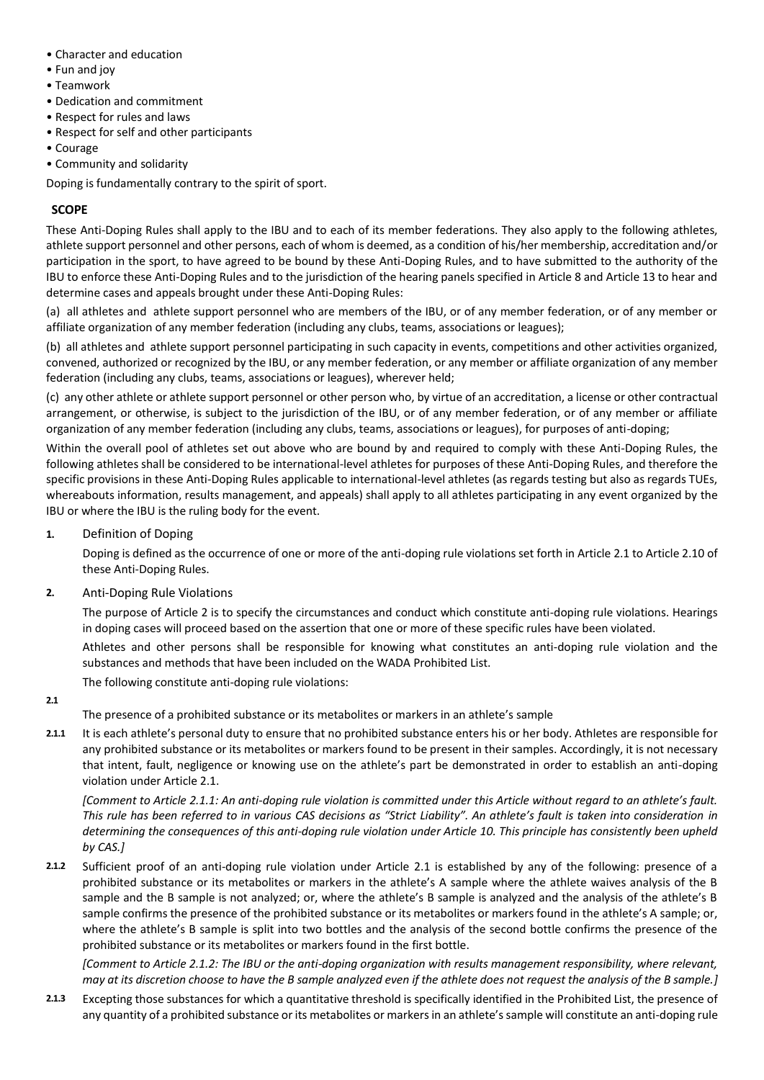- Character and education
- Fun and joy
- Teamwork
- Dedication and commitment
- Respect for rules and laws
- Respect for self and other participants
- Courage
- Community and solidarity

Doping is fundamentally contrary to the spirit of sport.

# **SCOPE**

These Anti-Doping Rules shall apply to the IBU and to each of its member federations. They also apply to the following athletes, athlete support personnel and other persons, each of whom is deemed, as a condition of his/her membership, accreditation and/or participation in the sport, to have agreed to be bound by these Anti-Doping Rules, and to have submitted to the authority of the IBU to enforce these Anti-Doping Rules and to the jurisdiction of the hearing panels specified in Article 8 and Article 13 to hear and determine cases and appeals brought under these Anti-Doping Rules:

(a) all athletes and athlete support personnel who are members of the IBU, or of any member federation, or of any member or affiliate organization of any member federation (including any clubs, teams, associations or leagues);

(b) all athletes and athlete support personnel participating in such capacity in events, competitions and other activities organized, convened, authorized or recognized by the IBU, or any member federation, or any member or affiliate organization of any member federation (including any clubs, teams, associations or leagues), wherever held;

(c) any other athlete or athlete support personnel or other person who, by virtue of an accreditation, a license or other contractual arrangement, or otherwise, is subject to the jurisdiction of the IBU, or of any member federation, or of any member or affiliate organization of any member federation (including any clubs, teams, associations or leagues), for purposes of anti-doping;

Within the overall pool of athletes set out above who are bound by and required to comply with these Anti-Doping Rules, the following athletes shall be considered to be international-level athletes for purposes of these Anti-Doping Rules, and therefore the specific provisions in these Anti-Doping Rules applicable to international-level athletes (as regards testing but also as regards TUEs, whereabouts information, results management, and appeals) shall apply to all athletes participating in any event organized by the IBU or where the IBU is the ruling body for the event.

# **1.** Definition of Doping

Doping is defined as the occurrence of one or more of the anti-doping rule violations set forth in Article 2.1 to Article 2.10 of these Anti-Doping Rules.

**2.** Anti-Doping Rule Violations

The purpose of Article 2 is to specify the circumstances and conduct which constitute anti-doping rule violations. Hearings in doping cases will proceed based on the assertion that one or more of these specific rules have been violated.

Athletes and other persons shall be responsible for knowing what constitutes an anti-doping rule violation and the substances and methods that have been included on the WADA Prohibited List.

The following constitute anti-doping rule violations:

- **2.1**
- The presence of a prohibited substance or its metabolites or markers in an athlete's sample
- **2.1.1** It is each athlete's personal duty to ensure that no prohibited substance enters his or her body. Athletes are responsible for any prohibited substance or its metabolites or markers found to be present in their samples. Accordingly, it is not necessary that intent, fault, negligence or knowing use on the athlete's part be demonstrated in order to establish an anti-doping violation under Article 2.1.

*[Comment to Article 2.1.1: An anti-doping rule violation is committed under this Article without regard to an athlete's fault. This rule has been referred to in various CAS decisions as "Strict Liability". An athlete's fault is taken into consideration in determining the consequences of this anti-doping rule violation under Article 10. This principle has consistently been upheld by CAS.]*

**2.1.2** Sufficient proof of an anti-doping rule violation under Article 2.1 is established by any of the following: presence of a prohibited substance or its metabolites or markers in the athlete's A sample where the athlete waives analysis of the B sample and the B sample is not analyzed; or, where the athlete's B sample is analyzed and the analysis of the athlete's B sample confirms the presence of the prohibited substance or its metabolites or markers found in the athlete's A sample; or, where the athlete's B sample is split into two bottles and the analysis of the second bottle confirms the presence of the prohibited substance or its metabolites or markers found in the first bottle.

*[Comment to Article 2.1.2: The IBU or the anti-doping organization with results management responsibility, where relevant, may at its discretion choose to have the B sample analyzed even if the athlete does not request the analysis of the B sample.]*

**2.1.3** Excepting those substances for which a quantitative threshold is specifically identified in the Prohibited List, the presence of any quantity of a prohibited substance or its metabolites or markers in an athlete's sample will constitute an anti-doping rule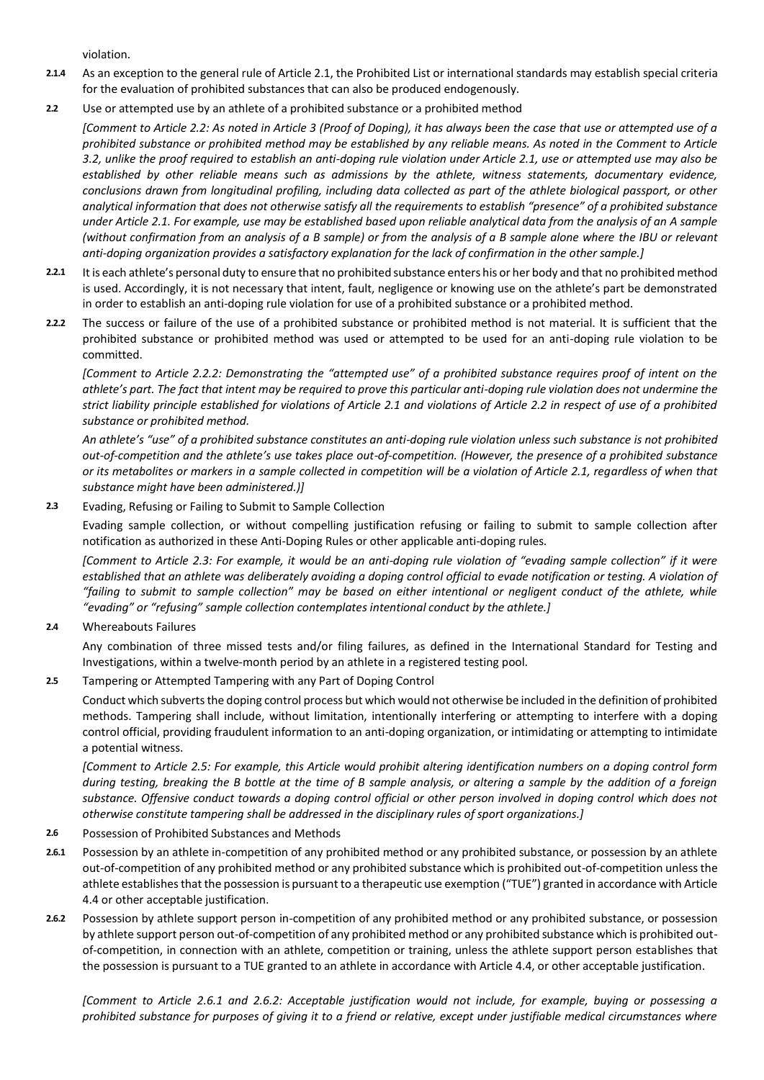violation.

- **2.1.4** As an exception to the general rule of Article 2.1, the Prohibited List or international standards may establish special criteria for the evaluation of prohibited substances that can also be produced endogenously.
- **2.2** Use or attempted use by an athlete of a prohibited substance or a prohibited method

*[Comment to Article 2.2: As noted in Article 3 (Proof of Doping), it has always been the case that use or attempted use of a prohibited substance or prohibited method may be established by any reliable means. As noted in the Comment to Article 3.2, unlike the proof required to establish an anti-doping rule violation under Article 2.1, use or attempted use may also be established by other reliable means such as admissions by the athlete, witness statements, documentary evidence, conclusions drawn from longitudinal profiling, including data collected as part of the athlete biological passport, or other analytical information that does not otherwise satisfy all the requirements to establish "presence" of a prohibited substance under Article 2.1. For example, use may be established based upon reliable analytical data from the analysis of an A sample (without confirmation from an analysis of a B sample) or from the analysis of a B sample alone where the IBU or relevant anti-doping organization provides a satisfactory explanation for the lack of confirmation in the other sample.]*

- **2.2.1** It is each athlete's personal duty to ensure that no prohibited substance enters his or her body and that no prohibited method is used. Accordingly, it is not necessary that intent, fault, negligence or knowing use on the athlete's part be demonstrated in order to establish an anti-doping rule violation for use of a prohibited substance or a prohibited method.
- **2.2.2** The success or failure of the use of a prohibited substance or prohibited method is not material. It is sufficient that the prohibited substance or prohibited method was used or attempted to be used for an anti-doping rule violation to be committed.

*[Comment to Article 2.2.2: Demonstrating the "attempted use" of a prohibited substance requires proof of intent on the athlete's part. The fact that intent may be required to prove this particular anti-doping rule violation does not undermine the strict liability principle established for violations of Article 2.1 and violations of Article 2.2 in respect of use of a prohibited substance or prohibited method.* 

*An athlete's "use" of a prohibited substance constitutes an anti-doping rule violation unless such substance is not prohibited out-of-competition and the athlete's use takes place out-of-competition. (However, the presence of a prohibited substance or its metabolites or markers in a sample collected in competition will be a violation of Article 2.1, regardless of when that substance might have been administered.)]*

**2.3** Evading, Refusing or Failing to Submit to Sample Collection

Evading sample collection, or without compelling justification refusing or failing to submit to sample collection after notification as authorized in these Anti-Doping Rules or other applicable anti-doping rules.

*[Comment to Article 2.3: For example, it would be an anti-doping rule violation of "evading sample collection" if it were established that an athlete was deliberately avoiding a doping control official to evade notification or testing. A violation of "failing to submit to sample collection" may be based on either intentional or negligent conduct of the athlete, while "evading" or "refusing" sample collection contemplates intentional conduct by the athlete.]*

**2.4** Whereabouts Failures

Any combination of three missed tests and/or filing failures, as defined in the International Standard for Testing and Investigations, within a twelve-month period by an athlete in a registered testing pool.

**2.5** Tampering or Attempted Tampering with any Part of Doping Control

Conduct which subverts the doping control process but which would not otherwise be included in the definition of prohibited methods. Tampering shall include, without limitation, intentionally interfering or attempting to interfere with a doping control official, providing fraudulent information to an anti-doping organization, or intimidating or attempting to intimidate a potential witness.

*[Comment to Article 2.5: For example, this Article would prohibit altering identification numbers on a doping control form during testing, breaking the B bottle at the time of B sample analysis, or altering a sample by the addition of a foreign substance. Offensive conduct towards a doping control official or other person involved in doping control which does not otherwise constitute tampering shall be addressed in the disciplinary rules of sport organizations.]*

- **2.6** Possession of Prohibited Substances and Methods
- **2.6.1** Possession by an athlete in-competition of any prohibited method or any prohibited substance, or possession by an athlete out-of-competition of any prohibited method or any prohibited substance which is prohibited out-of-competition unless the athlete establishes that the possession is pursuant to a therapeutic use exemption ("TUE") granted in accordance with Article 4.4 or other acceptable justification.
- **2.6.2** Possession by athlete support person in-competition of any prohibited method or any prohibited substance, or possession by athlete support person out-of-competition of any prohibited method or any prohibited substance which is prohibited outof-competition, in connection with an athlete, competition or training, unless the athlete support person establishes that the possession is pursuant to a TUE granted to an athlete in accordance with Article 4.4, or other acceptable justification.

*[Comment to Article 2.6.1 and 2.6.2: Acceptable justification would not include, for example, buying or possessing a prohibited substance for purposes of giving it to a friend or relative, except under justifiable medical circumstances where*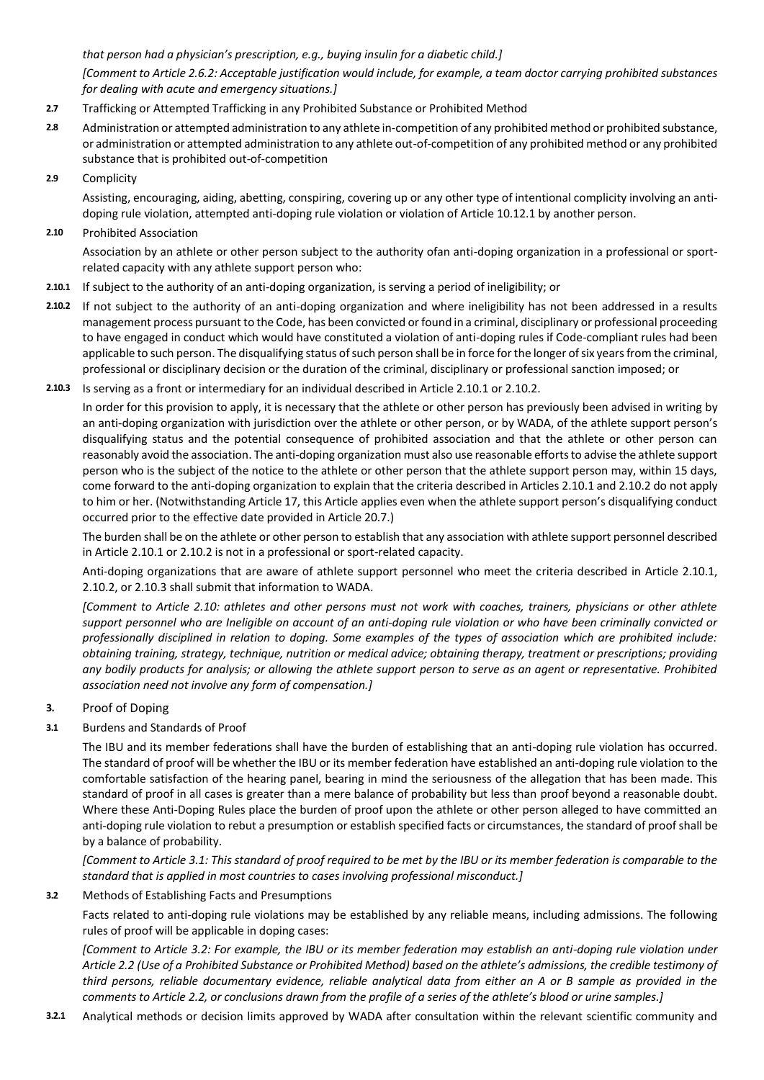*that person had a physician's prescription, e.g., buying insulin for a diabetic child.] [Comment to Article 2.6.2: Acceptable justification would include, for example, a team doctor carrying prohibited substances* 

*for dealing with acute and emergency situations.]*

- **2.7** Trafficking or Attempted Trafficking in any Prohibited Substance or Prohibited Method
- **2.8** Administration or attempted administration to any athlete in-competition of any prohibited method or prohibited substance, or administration or attempted administration to any athlete out-of-competition of any prohibited method or any prohibited substance that is prohibited out-of-competition
- **2.9** Complicity

Assisting, encouraging, aiding, abetting, conspiring, covering up or any other type of intentional complicity involving an antidoping rule violation, attempted anti-doping rule violation or violation of Article 10.12.1 by another person.

# **2.10** Prohibited Association

Association by an athlete or other person subject to the authority ofan anti-doping organization in a professional or sportrelated capacity with any athlete support person who:

- **2.10.1** If subject to the authority of an anti-doping organization, is serving a period of ineligibility; or
- **2.10.2** If not subject to the authority of an anti-doping organization and where ineligibility has not been addressed in a results management process pursuant to the Code, has been convicted or found in a criminal, disciplinary or professional proceeding to have engaged in conduct which would have constituted a violation of anti-doping rules if Code-compliant rules had been applicable to such person. The disqualifying status of such person shall be in force for the longer of six years from the criminal, professional or disciplinary decision or the duration of the criminal, disciplinary or professional sanction imposed; or
- **2.10.3** Is serving as a front or intermediary for an individual described in Article 2.10.1 or 2.10.2.

In order for this provision to apply, it is necessary that the athlete or other person has previously been advised in writing by an anti-doping organization with jurisdiction over the athlete or other person, or by WADA, of the athlete support person's disqualifying status and the potential consequence of prohibited association and that the athlete or other person can reasonably avoid the association. The anti-doping organization must also use reasonable efforts to advise the athlete support person who is the subject of the notice to the athlete or other person that the athlete support person may, within 15 days, come forward to the anti-doping organization to explain that the criteria described in Articles 2.10.1 and 2.10.2 do not apply to him or her. (Notwithstanding Article 17, this Article applies even when the athlete support person's disqualifying conduct occurred prior to the effective date provided in Article 20.7.)

The burden shall be on the athlete or other person to establish that any association with athlete support personnel described in Article 2.10.1 or 2.10.2 is not in a professional or sport-related capacity.

Anti-doping organizations that are aware of athlete support personnel who meet the criteria described in Article 2.10.1, 2.10.2, or 2.10.3 shall submit that information to WADA.

*[Comment to Article 2.10: athletes and other persons must not work with coaches, trainers, physicians or other athlete support personnel who are Ineligible on account of an anti-doping rule violation or who have been criminally convicted or professionally disciplined in relation to doping. Some examples of the types of association which are prohibited include: obtaining training, strategy, technique, nutrition or medical advice; obtaining therapy, treatment or prescriptions; providing any bodily products for analysis; or allowing the athlete support person to serve as an agent or representative. Prohibited association need not involve any form of compensation.]*

- **3.** Proof of Doping
- **3.1** Burdens and Standards of Proof

The IBU and its member federations shall have the burden of establishing that an anti-doping rule violation has occurred. The standard of proof will be whether the IBU or its member federation have established an anti-doping rule violation to the comfortable satisfaction of the hearing panel, bearing in mind the seriousness of the allegation that has been made. This standard of proof in all cases is greater than a mere balance of probability but less than proof beyond a reasonable doubt. Where these Anti-Doping Rules place the burden of proof upon the athlete or other person alleged to have committed an anti-doping rule violation to rebut a presumption or establish specified facts or circumstances, the standard of proof shall be by a balance of probability.

*[Comment to Article 3.1: This standard of proof required to be met by the IBU or its member federation is comparable to the standard that is applied in most countries to cases involving professional misconduct.]*

## **3.2** Methods of Establishing Facts and Presumptions

Facts related to anti-doping rule violations may be established by any reliable means, including admissions. The following rules of proof will be applicable in doping cases:

*[Comment to Article 3.2: For example, the IBU or its member federation may establish an anti-doping rule violation under Article 2.2 (Use of a Prohibited Substance or Prohibited Method) based on the athlete's admissions, the credible testimony of third persons, reliable documentary evidence, reliable analytical data from either an A or B sample as provided in the comments to Article 2.2, or conclusions drawn from the profile of a series of the athlete's blood or urine samples.]*

**3.2.1** Analytical methods or decision limits approved by WADA after consultation within the relevant scientific community and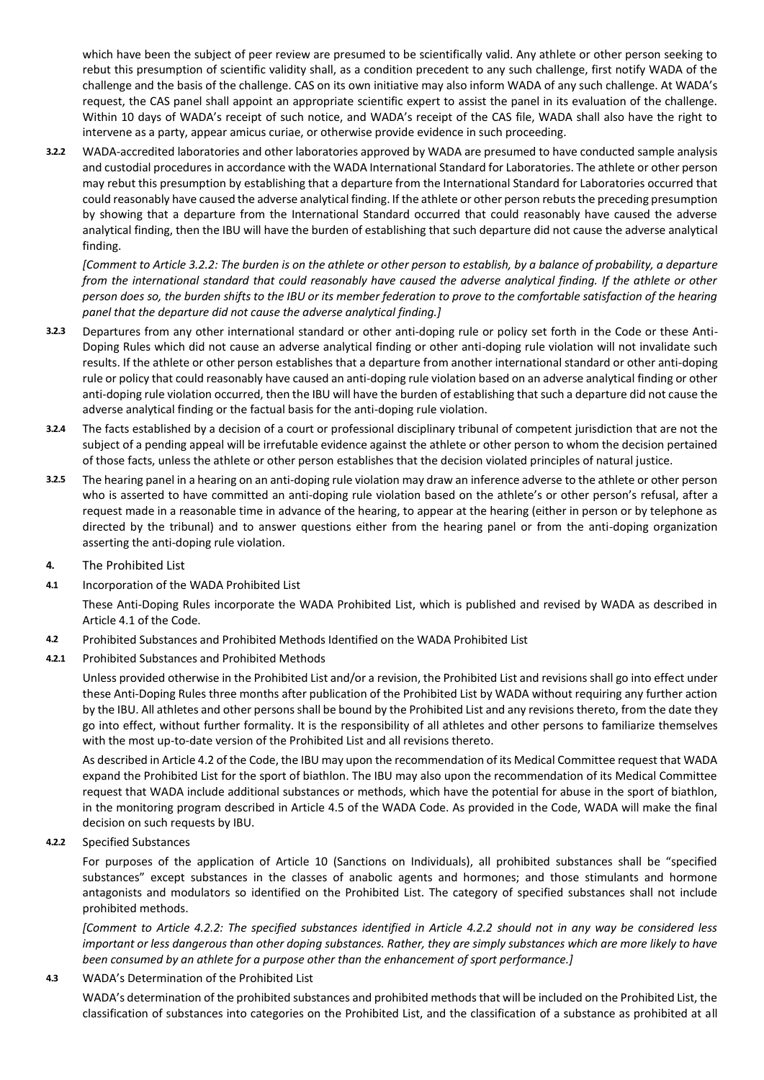which have been the subject of peer review are presumed to be scientifically valid. Any athlete or other person seeking to rebut this presumption of scientific validity shall, as a condition precedent to any such challenge, first notify WADA of the challenge and the basis of the challenge. CAS on its own initiative may also inform WADA of any such challenge. At WADA's request, the CAS panel shall appoint an appropriate scientific expert to assist the panel in its evaluation of the challenge. Within 10 days of WADA's receipt of such notice, and WADA's receipt of the CAS file, WADA shall also have the right to intervene as a party, appear amicus curiae, or otherwise provide evidence in such proceeding.

**3.2.2** WADA-accredited laboratories and other laboratories approved by WADA are presumed to have conducted sample analysis and custodial procedures in accordance with the WADA International Standard for Laboratories. The athlete or other person may rebut this presumption by establishing that a departure from the International Standard for Laboratories occurred that could reasonably have caused the adverse analytical finding. If the athlete or other person rebuts the preceding presumption by showing that a departure from the International Standard occurred that could reasonably have caused the adverse analytical finding, then the IBU will have the burden of establishing that such departure did not cause the adverse analytical finding.

*[Comment to Article 3.2.2: The burden is on the athlete or other person to establish, by a balance of probability, a departure from the international standard that could reasonably have caused the adverse analytical finding. If the athlete or other person does so, the burden shifts to the IBU or its member federation to prove to the comfortable satisfaction of the hearing panel that the departure did not cause the adverse analytical finding.]*

- **3.2.3** Departures from any other international standard or other anti-doping rule or policy set forth in the Code or these Anti-Doping Rules which did not cause an adverse analytical finding or other anti-doping rule violation will not invalidate such results. If the athlete or other person establishes that a departure from another international standard or other anti-doping rule or policy that could reasonably have caused an anti-doping rule violation based on an adverse analytical finding or other anti-doping rule violation occurred, then the IBU will have the burden of establishing that such a departure did not cause the adverse analytical finding or the factual basis for the anti-doping rule violation.
- **3.2.4** The facts established by a decision of a court or professional disciplinary tribunal of competent jurisdiction that are not the subject of a pending appeal will be irrefutable evidence against the athlete or other person to whom the decision pertained of those facts, unless the athlete or other person establishes that the decision violated principles of natural justice.
- **3.2.5** The hearing panel in a hearing on an anti-doping rule violation may draw an inference adverse to the athlete or other person who is asserted to have committed an anti-doping rule violation based on the athlete's or other person's refusal, after a request made in a reasonable time in advance of the hearing, to appear at the hearing (either in person or by telephone as directed by the tribunal) and to answer questions either from the hearing panel or from the anti-doping organization asserting the anti-doping rule violation.
- **4.** The Prohibited List
- **4.1** Incorporation of the WADA Prohibited List

These Anti-Doping Rules incorporate the WADA Prohibited List, which is published and revised by WADA as described in Article 4.1 of the Code.

- **4.2** Prohibited Substances and Prohibited Methods Identified on the WADA Prohibited List
- **4.2.1** Prohibited Substances and Prohibited Methods

Unless provided otherwise in the Prohibited List and/or a revision, the Prohibited List and revisions shall go into effect under these Anti-Doping Rules three months after publication of the Prohibited List by WADA without requiring any further action by the IBU. All athletes and other persons shall be bound by the Prohibited List and any revisions thereto, from the date they go into effect, without further formality. It is the responsibility of all athletes and other persons to familiarize themselves with the most up-to-date version of the Prohibited List and all revisions thereto.

As described in Article 4.2 of the Code, the IBU may upon the recommendation of its Medical Committee request that WADA expand the Prohibited List for the sport of biathlon. The IBU may also upon the recommendation of its Medical Committee request that WADA include additional substances or methods, which have the potential for abuse in the sport of biathlon, in the monitoring program described in Article 4.5 of the WADA Code. As provided in the Code, WADA will make the final decision on such requests by IBU.

**4.2.2** Specified Substances

For purposes of the application of Article 10 (Sanctions on Individuals), all prohibited substances shall be "specified substances" except substances in the classes of anabolic agents and hormones; and those stimulants and hormone antagonists and modulators so identified on the Prohibited List. The category of specified substances shall not include prohibited methods.

*[Comment to Article 4.2.2: The specified substances identified in Article 4.2.2 should not in any way be considered less important or less dangerous than other doping substances. Rather, they are simply substances which are more likely to have been consumed by an athlete for a purpose other than the enhancement of sport performance.]*

**4.3** WADA's Determination of the Prohibited List

WADA's determination of the prohibited substances and prohibited methods that will be included on the Prohibited List, the classification of substances into categories on the Prohibited List, and the classification of a substance as prohibited at all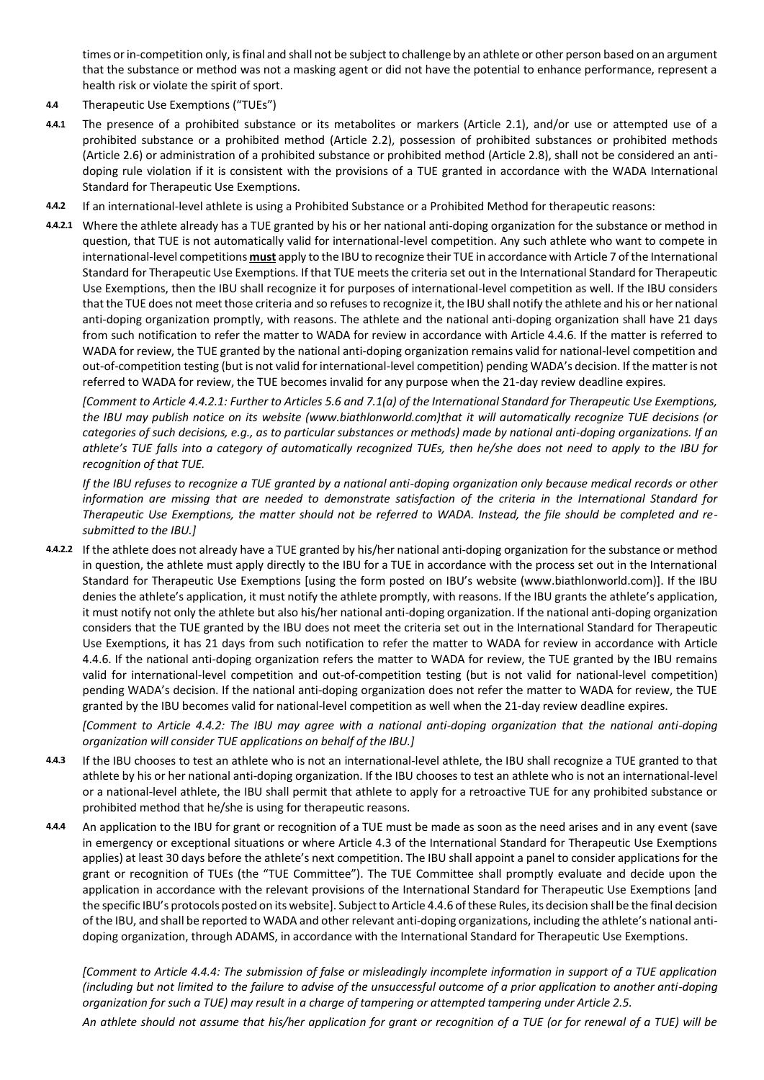times or in-competition only, is final and shall not be subject to challenge by an athlete or other person based on an argument that the substance or method was not a masking agent or did not have the potential to enhance performance, represent a health risk or violate the spirit of sport.

- **4.4** Therapeutic Use Exemptions ("TUEs")
- **4.4.1** The presence of a prohibited substance or its metabolites or markers (Article 2.1), and/or use or attempted use of a prohibited substance or a prohibited method (Article 2.2), possession of prohibited substances or prohibited methods (Article 2.6) or administration of a prohibited substance or prohibited method (Article 2.8), shall not be considered an antidoping rule violation if it is consistent with the provisions of a TUE granted in accordance with the WADA International Standard for Therapeutic Use Exemptions.
- **4.4.2** If an international-level athlete is using a Prohibited Substance or a Prohibited Method for therapeutic reasons:
- **4.4.2.1** Where the athlete already has a TUE granted by his or her national anti-doping organization for the substance or method in question, that TUE is not automatically valid for international-level competition. Any such athlete who want to compete in international-level competitions **must** apply to the IBU to recognize their TUE in accordance with Article 7 of the International Standard for Therapeutic Use Exemptions. If that TUE meets the criteria set out in the International Standard for Therapeutic Use Exemptions, then the IBU shall recognize it for purposes of international-level competition as well. If the IBU considers that the TUE does not meet those criteria and so refuses to recognize it, the IBU shall notify the athlete and his or her national anti-doping organization promptly, with reasons. The athlete and the national anti-doping organization shall have 21 days from such notification to refer the matter to WADA for review in accordance with Article 4.4.6. If the matter is referred to WADA for review, the TUE granted by the national anti-doping organization remains valid for national-level competition and out-of-competition testing (but is not valid for international-level competition) pending WADA's decision. If the matter is not referred to WADA for review, the TUE becomes invalid for any purpose when the 21-day review deadline expires.

*[Comment to Article 4.4.2.1: Further to Articles 5.6 and 7.1(a) of the International Standard for Therapeutic Use Exemptions, the IBU may publish notice on its website (www.biathlonworld.com)that it will automatically recognize TUE decisions (or categories of such decisions, e.g., as to particular substances or methods) made by national anti-doping organizations. If an athlete's TUE falls into a category of automatically recognized TUEs, then he/she does not need to apply to the IBU for recognition of that TUE.*

*If the IBU refuses to recognize a TUE granted by a national anti-doping organization only because medical records or other information are missing that are needed to demonstrate satisfaction of the criteria in the International Standard for Therapeutic Use Exemptions, the matter should not be referred to WADA. Instead, the file should be completed and resubmitted to the IBU.]*

**4.4.2.2** If the athlete does not already have a TUE granted by his/her national anti-doping organization for the substance or method in question, the athlete must apply directly to the IBU for a TUE in accordance with the process set out in the International Standard for Therapeutic Use Exemptions [using the form posted on IBU's website (www.biathlonworld.com)]. If the IBU denies the athlete's application, it must notify the athlete promptly, with reasons. If the IBU grants the athlete's application, it must notify not only the athlete but also his/her national anti-doping organization. If the national anti-doping organization considers that the TUE granted by the IBU does not meet the criteria set out in the International Standard for Therapeutic Use Exemptions, it has 21 days from such notification to refer the matter to WADA for review in accordance with Article 4.4.6. If the national anti-doping organization refers the matter to WADA for review, the TUE granted by the IBU remains valid for international-level competition and out-of-competition testing (but is not valid for national-level competition) pending WADA's decision. If the national anti-doping organization does not refer the matter to WADA for review, the TUE granted by the IBU becomes valid for national-level competition as well when the 21-day review deadline expires.

*[Comment to Article 4.4.2: The IBU may agree with a national anti-doping organization that the national anti-doping organization will consider TUE applications on behalf of the IBU.]*

- **4.4.3** If the IBU chooses to test an athlete who is not an international-level athlete, the IBU shall recognize a TUE granted to that athlete by his or her national anti-doping organization. If the IBU chooses to test an athlete who is not an international-level or a national-level athlete, the IBU shall permit that athlete to apply for a retroactive TUE for any prohibited substance or prohibited method that he/she is using for therapeutic reasons.
- **4.4.4** An application to the IBU for grant or recognition of a TUE must be made as soon as the need arises and in any event (save in emergency or exceptional situations or where Article 4.3 of the International Standard for Therapeutic Use Exemptions applies) at least 30 days before the athlete's next competition. The IBU shall appoint a panel to consider applications for the grant or recognition of TUEs (the "TUE Committee"). The TUE Committee shall promptly evaluate and decide upon the application in accordance with the relevant provisions of the International Standard for Therapeutic Use Exemptions [and the specific IBU's protocols posted on its website]. Subject to Article 4.4.6 of these Rules, its decision shall be the final decision of the IBU, and shall be reported to WADA and other relevant anti-doping organizations, including the athlete's national antidoping organization, through ADAMS, in accordance with the International Standard for Therapeutic Use Exemptions.

*[Comment to Article 4.4.4: The submission of false or misleadingly incomplete information in support of a TUE application (including but not limited to the failure to advise of the unsuccessful outcome of a prior application to another anti-doping organization for such a TUE) may result in a charge of tampering or attempted tampering under Article 2.5.*

*An athlete should not assume that his/her application for grant or recognition of a TUE (or for renewal of a TUE) will be*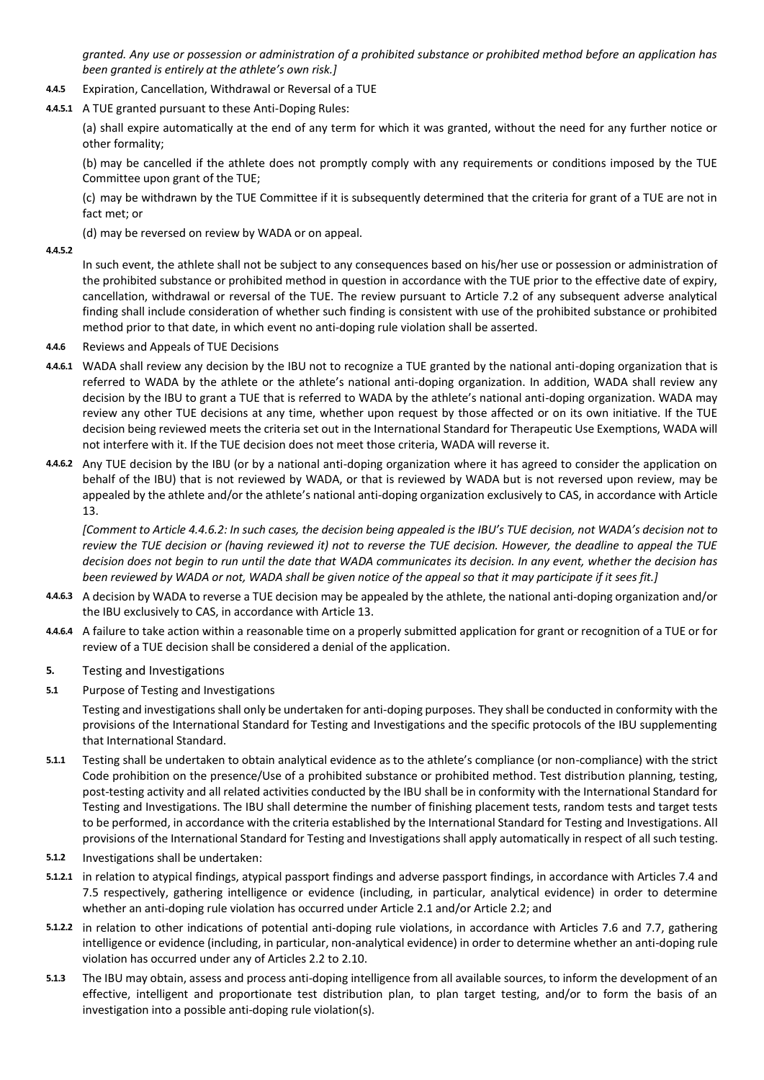*granted. Any use or possession or administration of a prohibited substance or prohibited method before an application has been granted is entirely at the athlete's own risk.]* 

- **4.4.5** Expiration, Cancellation, Withdrawal or Reversal of a TUE
- **4.4.5.1** A TUE granted pursuant to these Anti-Doping Rules:

(a) shall expire automatically at the end of any term for which it was granted, without the need for any further notice or other formality;

(b) may be cancelled if the athlete does not promptly comply with any requirements or conditions imposed by the TUE Committee upon grant of the TUE;

(c) may be withdrawn by the TUE Committee if it is subsequently determined that the criteria for grant of a TUE are not in fact met; or

(d) may be reversed on review by WADA or on appeal.

#### **4.4.5.2**

In such event, the athlete shall not be subject to any consequences based on his/her use or possession or administration of the prohibited substance or prohibited method in question in accordance with the TUE prior to the effective date of expiry, cancellation, withdrawal or reversal of the TUE. The review pursuant to Article 7.2 of any subsequent adverse analytical finding shall include consideration of whether such finding is consistent with use of the prohibited substance or prohibited method prior to that date, in which event no anti-doping rule violation shall be asserted.

- **4.4.6** Reviews and Appeals of TUE Decisions
- **4.4.6.1** WADA shall review any decision by the IBU not to recognize a TUE granted by the national anti-doping organization that is referred to WADA by the athlete or the athlete's national anti-doping organization. In addition, WADA shall review any decision by the IBU to grant a TUE that is referred to WADA by the athlete's national anti-doping organization. WADA may review any other TUE decisions at any time, whether upon request by those affected or on its own initiative. If the TUE decision being reviewed meets the criteria set out in the International Standard for Therapeutic Use Exemptions, WADA will not interfere with it. If the TUE decision does not meet those criteria, WADA will reverse it.
- **4.4.6.2** Any TUE decision by the IBU (or by a national anti-doping organization where it has agreed to consider the application on behalf of the IBU) that is not reviewed by WADA, or that is reviewed by WADA but is not reversed upon review, may be appealed by the athlete and/or the athlete's national anti-doping organization exclusively to CAS, in accordance with Article 13.

*[Comment to Article 4.4.6.2: In such cases, the decision being appealed is the IBU's TUE decision, not WADA's decision not to review the TUE decision or (having reviewed it) not to reverse the TUE decision. However, the deadline to appeal the TUE decision does not begin to run until the date that WADA communicates its decision. In any event, whether the decision has been reviewed by WADA or not, WADA shall be given notice of the appeal so that it may participate if it sees fit.]*

- **4.4.6.3** A decision by WADA to reverse a TUE decision may be appealed by the athlete, the national anti-doping organization and/or the IBU exclusively to CAS, in accordance with Article 13.
- **4.4.6.4** A failure to take action within a reasonable time on a properly submitted application for grant or recognition of a TUE or for review of a TUE decision shall be considered a denial of the application.
- **5.** Testing and Investigations
- **5.1** Purpose of Testing and Investigations

Testing and investigations shall only be undertaken for anti-doping purposes. They shall be conducted in conformity with the provisions of the International Standard for Testing and Investigations and the specific protocols of the IBU supplementing that International Standard.

- **5.1.1** Testing shall be undertaken to obtain analytical evidence as to the athlete's compliance (or non-compliance) with the strict Code prohibition on the presence/Use of a prohibited substance or prohibited method. Test distribution planning, testing, post-testing activity and all related activities conducted by the IBU shall be in conformity with the International Standard for Testing and Investigations. The IBU shall determine the number of finishing placement tests, random tests and target tests to be performed, in accordance with the criteria established by the International Standard for Testing and Investigations. All provisions of the International Standard for Testing and Investigations shall apply automatically in respect of all such testing.
- **5.1.2** Investigations shall be undertaken:
- **5.1.2.1** in relation to atypical findings, atypical passport findings and adverse passport findings, in accordance with Articles 7.4 and 7.5 respectively, gathering intelligence or evidence (including, in particular, analytical evidence) in order to determine whether an anti-doping rule violation has occurred under Article 2.1 and/or Article 2.2; and
- **5.1.2.2** in relation to other indications of potential anti-doping rule violations, in accordance with Articles 7.6 and 7.7, gathering intelligence or evidence (including, in particular, non-analytical evidence) in order to determine whether an anti-doping rule violation has occurred under any of Articles 2.2 to 2.10.
- **5.1.3** The IBU may obtain, assess and process anti-doping intelligence from all available sources, to inform the development of an effective, intelligent and proportionate test distribution plan, to plan target testing, and/or to form the basis of an investigation into a possible anti-doping rule violation(s).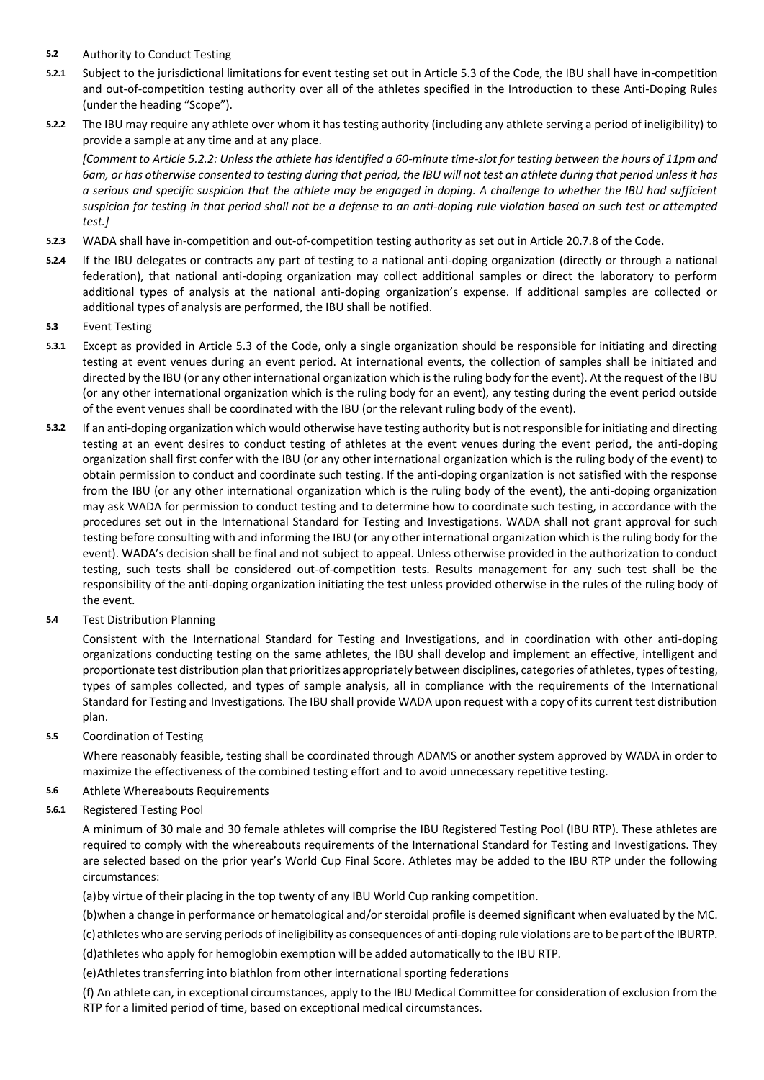- **5.2** Authority to Conduct Testing
- **5.2.1** Subject to the jurisdictional limitations for event testing set out in Article 5.3 of the Code, the IBU shall have in-competition and out-of-competition testing authority over all of the athletes specified in the Introduction to these Anti-Doping Rules (under the heading "Scope").
- **5.2.2** The IBU may require any athlete over whom it has testing authority (including any athlete serving a period of ineligibility) to provide a sample at any time and at any place.

*[Comment to Article 5.2.2: Unless the athlete has identified a 60-minute time-slot for testing between the hours of 11pm and 6am, or has otherwise consented to testing during that period, the IBU will not test an athlete during that period unless it has a serious and specific suspicion that the athlete may be engaged in doping. A challenge to whether the IBU had sufficient suspicion for testing in that period shall not be a defense to an anti-doping rule violation based on such test or attempted test.]*

- **5.2.3** WADA shall have in-competition and out-of-competition testing authority as set out in Article 20.7.8 of the Code.
- **5.2.4** If the IBU delegates or contracts any part of testing to a national anti-doping organization (directly or through a national federation), that national anti-doping organization may collect additional samples or direct the laboratory to perform additional types of analysis at the national anti-doping organization's expense. If additional samples are collected or additional types of analysis are performed, the IBU shall be notified.
- **5.3** Event Testing
- **5.3.1** Except as provided in Article 5.3 of the Code, only a single organization should be responsible for initiating and directing testing at event venues during an event period. At international events, the collection of samples shall be initiated and directed by the IBU (or any other international organization which is the ruling body for the event). At the request of the IBU (or any other international organization which is the ruling body for an event), any testing during the event period outside of the event venues shall be coordinated with the IBU (or the relevant ruling body of the event).
- **5.3.2** If an anti-doping organization which would otherwise have testing authority but is not responsible for initiating and directing testing at an event desires to conduct testing of athletes at the event venues during the event period, the anti-doping organization shall first confer with the IBU (or any other international organization which is the ruling body of the event) to obtain permission to conduct and coordinate such testing. If the anti-doping organization is not satisfied with the response from the IBU (or any other international organization which is the ruling body of the event), the anti-doping organization may ask WADA for permission to conduct testing and to determine how to coordinate such testing, in accordance with the procedures set out in the International Standard for Testing and Investigations. WADA shall not grant approval for such testing before consulting with and informing the IBU (or any other international organization which is the ruling body for the event). WADA's decision shall be final and not subject to appeal. Unless otherwise provided in the authorization to conduct testing, such tests shall be considered out-of-competition tests. Results management for any such test shall be the responsibility of the anti-doping organization initiating the test unless provided otherwise in the rules of the ruling body of the event.
- **5.4** Test Distribution Planning

Consistent with the International Standard for Testing and Investigations, and in coordination with other anti-doping organizations conducting testing on the same athletes, the IBU shall develop and implement an effective, intelligent and proportionate test distribution plan that prioritizes appropriately between disciplines, categories of athletes, types of testing, types of samples collected, and types of sample analysis, all in compliance with the requirements of the International Standard for Testing and Investigations. The IBU shall provide WADA upon request with a copy of its current test distribution plan.

**5.5** Coordination of Testing

Where reasonably feasible, testing shall be coordinated through ADAMS or another system approved by WADA in order to maximize the effectiveness of the combined testing effort and to avoid unnecessary repetitive testing.

**5.6** Athlete Whereabouts Requirements

# **5.6.1** Registered Testing Pool

A minimum of 30 male and 30 female athletes will comprise the IBU Registered Testing Pool (IBU RTP). These athletes are required to comply with the whereabouts requirements of the International Standard for Testing and Investigations. They are selected based on the prior year's World Cup Final Score. Athletes may be added to the IBU RTP under the following circumstances:

(a)by virtue of their placing in the top twenty of any IBU World Cup ranking competition.

(b)when a change in performance or hematological and/or steroidal profile is deemed significant when evaluated by the MC.

(c)athletes who are serving periods of ineligibility as consequences of anti-doping rule violations are to be part of the IBURTP.

(d)athletes who apply for hemoglobin exemption will be added automatically to the IBU RTP.

(e)Athletes transferring into biathlon from other international sporting federations

(f) An athlete can, in exceptional circumstances, apply to the IBU Medical Committee for consideration of exclusion from the RTP for a limited period of time, based on exceptional medical circumstances.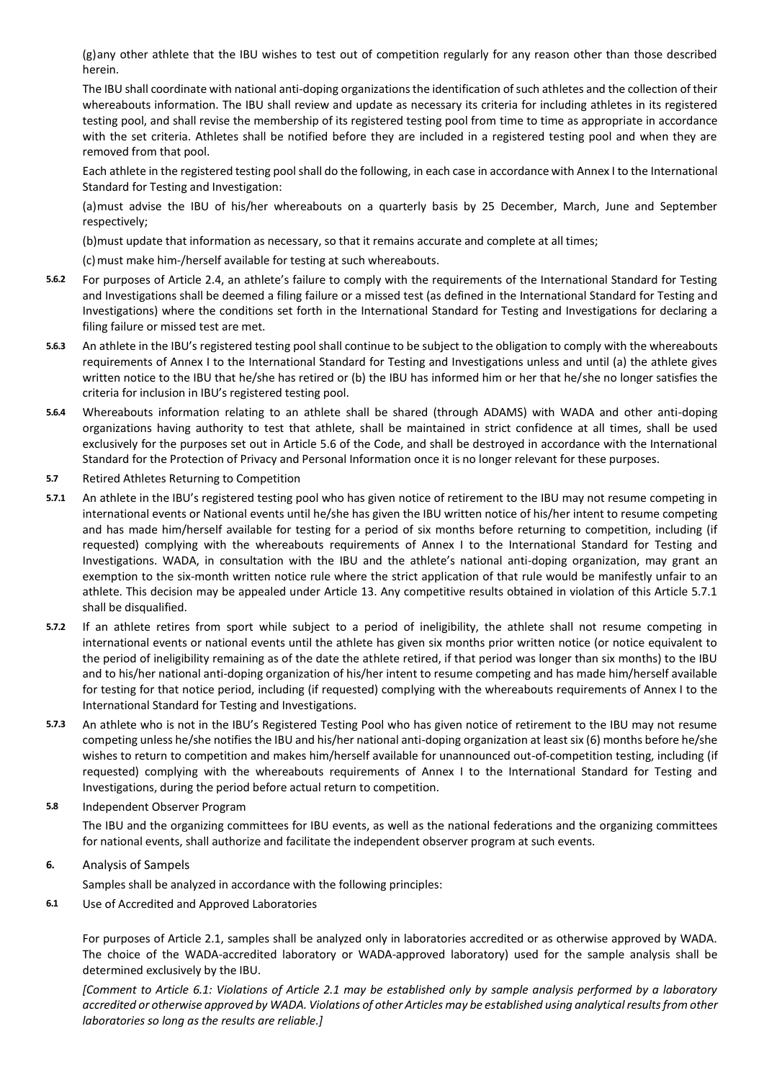(g)any other athlete that the IBU wishes to test out of competition regularly for any reason other than those described herein.

The IBU shall coordinate with national anti-doping organizations the identification of such athletes and the collection of their whereabouts information. The IBU shall review and update as necessary its criteria for including athletes in its registered testing pool, and shall revise the membership of its registered testing pool from time to time as appropriate in accordance with the set criteria. Athletes shall be notified before they are included in a registered testing pool and when they are removed from that pool.

Each athlete in the registered testing pool shall do the following, in each case in accordance with Annex I to the International Standard for Testing and Investigation:

(a)must advise the IBU of his/her whereabouts on a quarterly basis by 25 December, March, June and September respectively;

(b)must update that information as necessary, so that it remains accurate and complete at all times;

(c)must make him-/herself available for testing at such whereabouts.

- **5.6.2** For purposes of Article 2.4, an athlete's failure to comply with the requirements of the International Standard for Testing and Investigations shall be deemed a filing failure or a missed test (as defined in the International Standard for Testing and Investigations) where the conditions set forth in the International Standard for Testing and Investigations for declaring a filing failure or missed test are met.
- **5.6.3** An athlete in the IBU's registered testing pool shall continue to be subject to the obligation to comply with the whereabouts requirements of Annex I to the International Standard for Testing and Investigations unless and until (a) the athlete gives written notice to the IBU that he/she has retired or (b) the IBU has informed him or her that he/she no longer satisfies the criteria for inclusion in IBU's registered testing pool.
- **5.6.4** Whereabouts information relating to an athlete shall be shared (through ADAMS) with WADA and other anti-doping organizations having authority to test that athlete, shall be maintained in strict confidence at all times, shall be used exclusively for the purposes set out in Article 5.6 of the Code, and shall be destroyed in accordance with the International Standard for the Protection of Privacy and Personal Information once it is no longer relevant for these purposes.
- **5.7** Retired Athletes Returning to Competition
- **5.7.1** An athlete in the IBU's registered testing pool who has given notice of retirement to the IBU may not resume competing in international events or National events until he/she has given the IBU written notice of his/her intent to resume competing and has made him/herself available for testing for a period of six months before returning to competition, including (if requested) complying with the whereabouts requirements of Annex I to the International Standard for Testing and Investigations. WADA, in consultation with the IBU and the athlete's national anti-doping organization, may grant an exemption to the six-month written notice rule where the strict application of that rule would be manifestly unfair to an athlete. This decision may be appealed under Article 13. Any competitive results obtained in violation of this Article 5.7.1 shall be disqualified.
- **5.7.2** If an athlete retires from sport while subject to a period of ineligibility, the athlete shall not resume competing in international events or national events until the athlete has given six months prior written notice (or notice equivalent to the period of ineligibility remaining as of the date the athlete retired, if that period was longer than six months) to the IBU and to his/her national anti-doping organization of his/her intent to resume competing and has made him/herself available for testing for that notice period, including (if requested) complying with the whereabouts requirements of Annex I to the International Standard for Testing and Investigations.
- **5.7.3** An athlete who is not in the IBU's Registered Testing Pool who has given notice of retirement to the IBU may not resume competing unless he/she notifies the IBU and his/her national anti-doping organization at least six (6) months before he/she wishes to return to competition and makes him/herself available for unannounced out-of-competition testing, including (if requested) complying with the whereabouts requirements of Annex I to the International Standard for Testing and Investigations, during the period before actual return to competition.
- **5.8** Independent Observer Program

The IBU and the organizing committees for IBU events, as well as the national federations and the organizing committees for national events, shall authorize and facilitate the independent observer program at such events.

**6.** Analysis of Sampels

Samples shall be analyzed in accordance with the following principles:

**6.1** Use of Accredited and Approved Laboratories

For purposes of Article 2.1, samples shall be analyzed only in laboratories accredited or as otherwise approved by WADA. The choice of the WADA-accredited laboratory or WADA-approved laboratory) used for the sample analysis shall be determined exclusively by the IBU.

*[Comment to Article 6.1: Violations of Article 2.1 may be established only by sample analysis performed by a laboratory accredited or otherwise approved by WADA. Violations of other Articles may be established using analytical results from other laboratories so long as the results are reliable.]*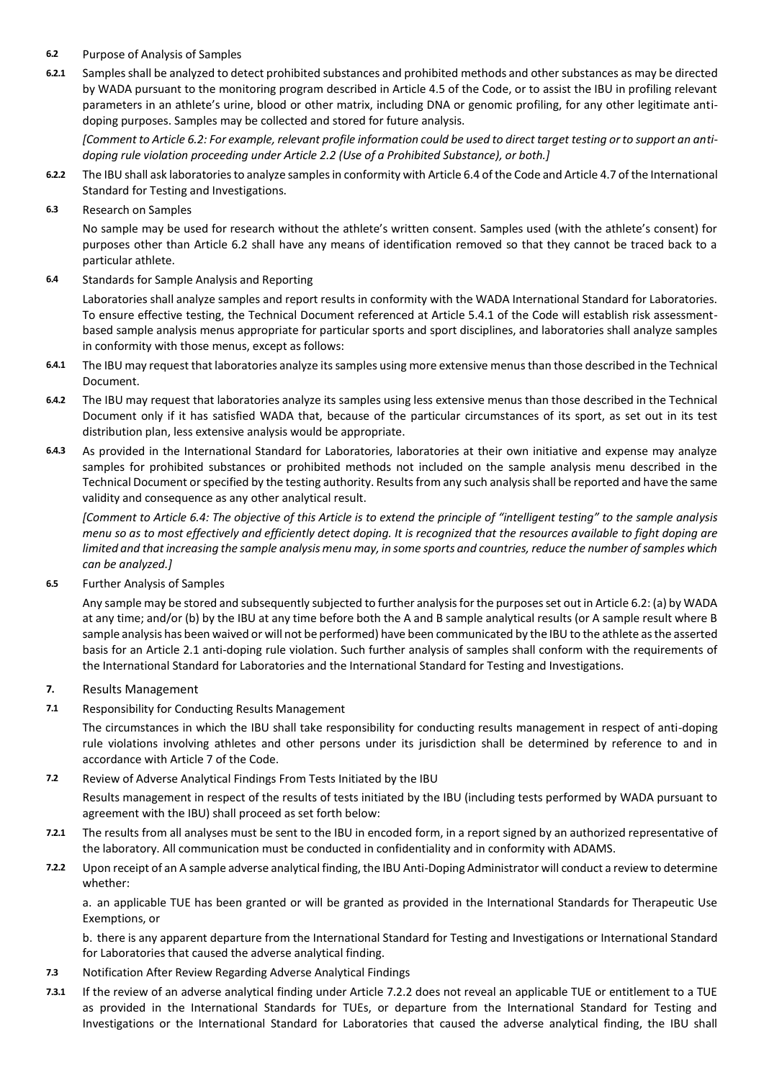- **6.2** Purpose of Analysis of Samples
- **6.2.1** Samples shall be analyzed to detect prohibited substances and prohibited methods and other substances as may be directed by WADA pursuant to the monitoring program described in Article 4.5 of the Code, or to assist the IBU in profiling relevant parameters in an athlete's urine, blood or other matrix, including DNA or genomic profiling, for any other legitimate antidoping purposes. Samples may be collected and stored for future analysis.

*[Comment to Article 6.2: For example, relevant profile information could be used to direct target testing or to support an antidoping rule violation proceeding under Article 2.2 (Use of a Prohibited Substance), or both.]*

- **6.2.2** The IBU shall ask laboratories to analyze samples in conformity with Article 6.4 of the Code and Article 4.7 of the International Standard for Testing and Investigations.
- **6.3** Research on Samples

No sample may be used for research without the athlete's written consent. Samples used (with the athlete's consent) for purposes other than Article 6.2 shall have any means of identification removed so that they cannot be traced back to a particular athlete.

**6.4** Standards for Sample Analysis and Reporting

Laboratories shall analyze samples and report results in conformity with the WADA International Standard for Laboratories. To ensure effective testing, the Technical Document referenced at Article 5.4.1 of the Code will establish risk assessmentbased sample analysis menus appropriate for particular sports and sport disciplines, and laboratories shall analyze samples in conformity with those menus, except as follows:

- **6.4.1** The IBU may request that laboratories analyze its samples using more extensive menus than those described in the Technical Document.
- **6.4.2** The IBU may request that laboratories analyze its samples using less extensive menus than those described in the Technical Document only if it has satisfied WADA that, because of the particular circumstances of its sport, as set out in its test distribution plan, less extensive analysis would be appropriate.
- **6.4.3** As provided in the International Standard for Laboratories, laboratories at their own initiative and expense may analyze samples for prohibited substances or prohibited methods not included on the sample analysis menu described in the Technical Document or specified by the testing authority. Results from any such analysis shall be reported and have the same validity and consequence as any other analytical result.

*[Comment to Article 6.4: The objective of this Article is to extend the principle of "intelligent testing" to the sample analysis menu so as to most effectively and efficiently detect doping. It is recognized that the resources available to fight doping are limited and that increasing the sample analysis menu may, in some sports and countries, reduce the number of samples which can be analyzed.]*

**6.5** Further Analysis of Samples

Any sample may be stored and subsequently subjected to further analysis for the purposes set out in Article 6.2: (a) by WADA at any time; and/or (b) by the IBU at any time before both the A and B sample analytical results (or A sample result where B sample analysis has been waived or will not be performed) have been communicated by the IBU to the athlete as the asserted basis for an Article 2.1 anti-doping rule violation. Such further analysis of samples shall conform with the requirements of the International Standard for Laboratories and the International Standard for Testing and Investigations.

- **7.** Results Management
- **7.1** Responsibility for Conducting Results Management

The circumstances in which the IBU shall take responsibility for conducting results management in respect of anti-doping rule violations involving athletes and other persons under its jurisdiction shall be determined by reference to and in accordance with Article 7 of the Code.

**7.2** Review of Adverse Analytical Findings From Tests Initiated by the IBU

Results management in respect of the results of tests initiated by the IBU (including tests performed by WADA pursuant to agreement with the IBU) shall proceed as set forth below:

- **7.2.1** The results from all analyses must be sent to the IBU in encoded form, in a report signed by an authorized representative of the laboratory. All communication must be conducted in confidentiality and in conformity with ADAMS.
- **7.2.2** Upon receipt of an A sample adverse analytical finding, the IBU Anti-Doping Administrator will conduct a review to determine whether:

a. an applicable TUE has been granted or will be granted as provided in the International Standards for Therapeutic Use Exemptions, or

b. there is any apparent departure from the International Standard for Testing and Investigations or International Standard for Laboratories that caused the adverse analytical finding.

- **7.3** Notification After Review Regarding Adverse Analytical Findings
- **7.3.1** If the review of an adverse analytical finding under Article 7.2.2 does not reveal an applicable TUE or entitlement to a TUE as provided in the International Standards for TUEs, or departure from the International Standard for Testing and Investigations or the International Standard for Laboratories that caused the adverse analytical finding, the IBU shall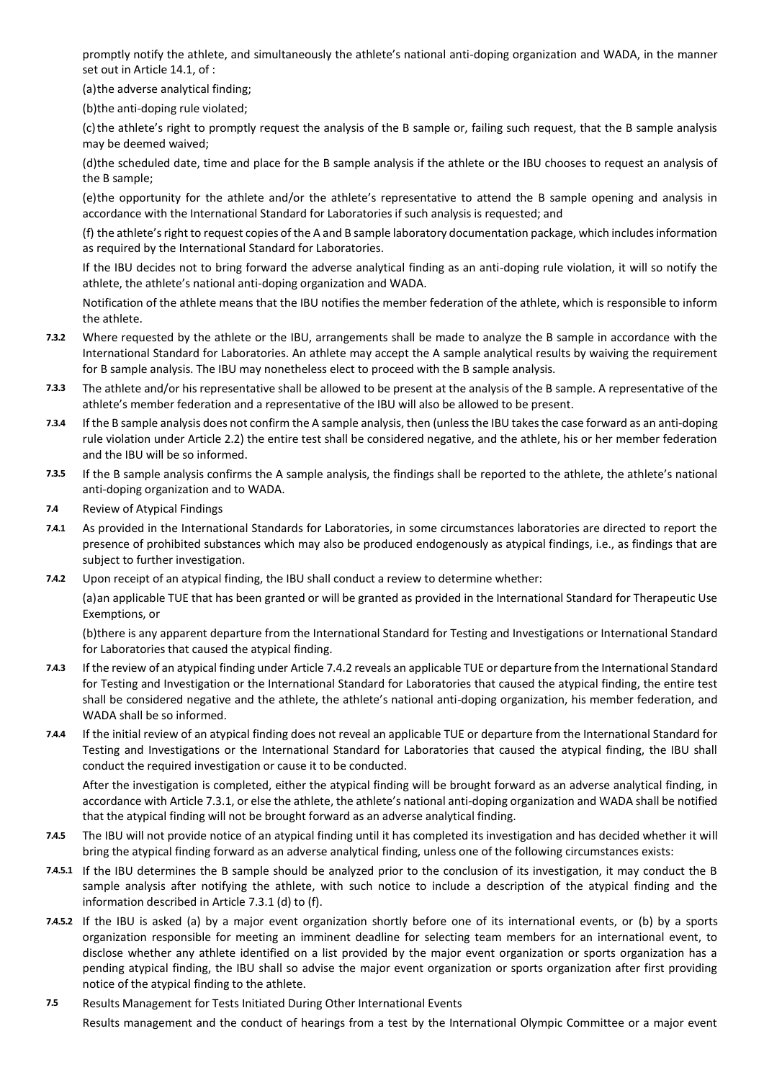promptly notify the athlete, and simultaneously the athlete's national anti-doping organization and WADA, in the manner set out in Article 14.1, of :

(a)the adverse analytical finding;

(b)the anti-doping rule violated;

(c)the athlete's right to promptly request the analysis of the B sample or, failing such request, that the B sample analysis may be deemed waived;

(d)the scheduled date, time and place for the B sample analysis if the athlete or the IBU chooses to request an analysis of the B sample;

(e)the opportunity for the athlete and/or the athlete's representative to attend the B sample opening and analysis in accordance with the International Standard for Laboratories if such analysis is requested; and

(f) the athlete's right to request copies of the A and B sample laboratory documentation package, which includes information as required by the International Standard for Laboratories.

If the IBU decides not to bring forward the adverse analytical finding as an anti-doping rule violation, it will so notify the athlete, the athlete's national anti-doping organization and WADA.

Notification of the athlete means that the IBU notifies the member federation of the athlete, which is responsible to inform the athlete.

- **7.3.2** Where requested by the athlete or the IBU, arrangements shall be made to analyze the B sample in accordance with the International Standard for Laboratories. An athlete may accept the A sample analytical results by waiving the requirement for B sample analysis. The IBU may nonetheless elect to proceed with the B sample analysis.
- **7.3.3** The athlete and/or his representative shall be allowed to be present at the analysis of the B sample. A representative of the athlete's member federation and a representative of the IBU will also be allowed to be present.
- **7.3.4** If the B sample analysis does not confirm the A sample analysis, then (unless the IBU takes the case forward as an anti-doping rule violation under Article 2.2) the entire test shall be considered negative, and the athlete, his or her member federation and the IBU will be so informed.
- **7.3.5** If the B sample analysis confirms the A sample analysis, the findings shall be reported to the athlete, the athlete's national anti-doping organization and to WADA.
- **7.4** Review of Atypical Findings
- **7.4.1** As provided in the International Standards for Laboratories, in some circumstances laboratories are directed to report the presence of prohibited substances which may also be produced endogenously as atypical findings, i.e., as findings that are subject to further investigation.
- **7.4.2** Upon receipt of an atypical finding, the IBU shall conduct a review to determine whether:

(a)an applicable TUE that has been granted or will be granted as provided in the International Standard for Therapeutic Use Exemptions, or

(b)there is any apparent departure from the International Standard for Testing and Investigations or International Standard for Laboratories that caused the atypical finding.

- **7.4.3** If the review of an atypical finding under Article 7.4.2 reveals an applicable TUE or departure from the International Standard for Testing and Investigation or the International Standard for Laboratories that caused the atypical finding, the entire test shall be considered negative and the athlete, the athlete's national anti-doping organization, his member federation, and WADA shall be so informed.
- **7.4.4** If the initial review of an atypical finding does not reveal an applicable TUE or departure from the International Standard for Testing and Investigations or the International Standard for Laboratories that caused the atypical finding, the IBU shall conduct the required investigation or cause it to be conducted.

After the investigation is completed, either the atypical finding will be brought forward as an adverse analytical finding, in accordance with Article 7.3.1, or else the athlete, the athlete's national anti-doping organization and WADA shall be notified that the atypical finding will not be brought forward as an adverse analytical finding.

- **7.4.5** The IBU will not provide notice of an atypical finding until it has completed its investigation and has decided whether it will bring the atypical finding forward as an adverse analytical finding, unless one of the following circumstances exists:
- **7.4.5.1** If the IBU determines the B sample should be analyzed prior to the conclusion of its investigation, it may conduct the B sample analysis after notifying the athlete, with such notice to include a description of the atypical finding and the information described in Article 7.3.1 (d) to (f).
- **7.4.5.2** If the IBU is asked (a) by a major event organization shortly before one of its international events, or (b) by a sports organization responsible for meeting an imminent deadline for selecting team members for an international event, to disclose whether any athlete identified on a list provided by the major event organization or sports organization has a pending atypical finding, the IBU shall so advise the major event organization or sports organization after first providing notice of the atypical finding to the athlete.
- **7.5** Results Management for Tests Initiated During Other International Events Results management and the conduct of hearings from a test by the International Olympic Committee or a major event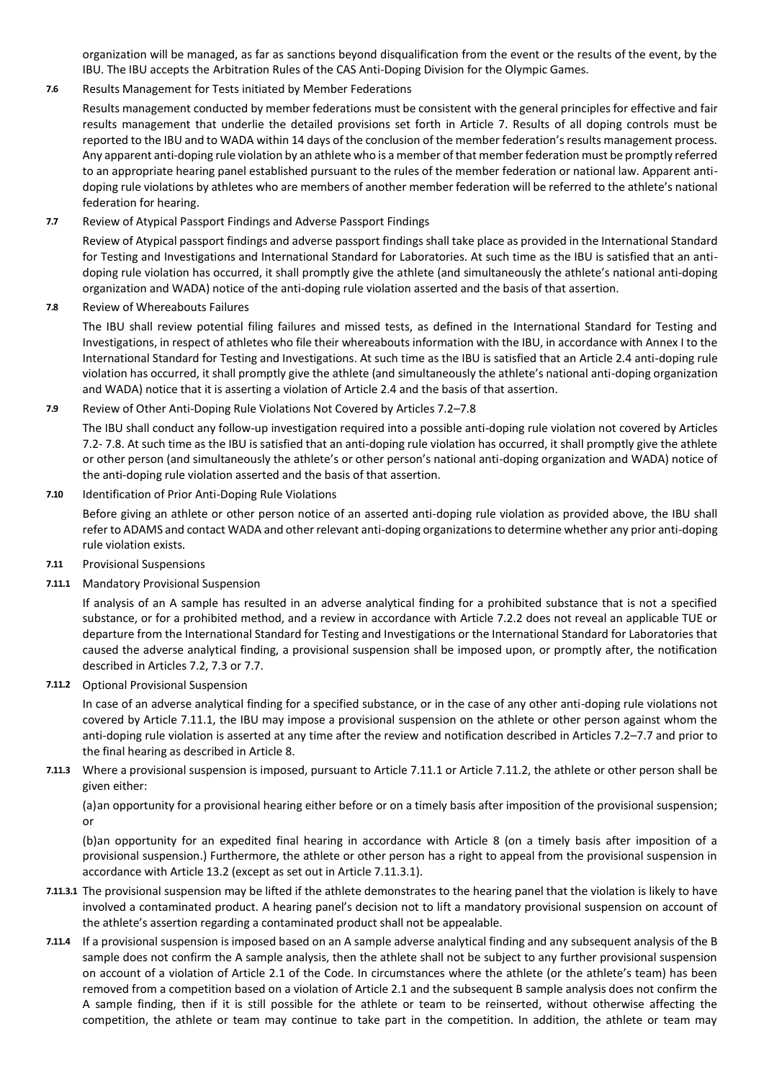organization will be managed, as far as sanctions beyond disqualification from the event or the results of the event, by the IBU. The IBU accepts the Arbitration Rules of the CAS Anti-Doping Division for the Olympic Games.

# **7.6** Results Management for Tests initiated by Member Federations

Results management conducted by member federations must be consistent with the general principles for effective and fair results management that underlie the detailed provisions set forth in Article 7. Results of all doping controls must be reported to the IBU and to WADA within 14 days of the conclusion of the member federation's results management process. Any apparent anti-doping rule violation by an athlete who is a member of that member federation must be promptly referred to an appropriate hearing panel established pursuant to the rules of the member federation or national law. Apparent antidoping rule violations by athletes who are members of another member federation will be referred to the athlete's national federation for hearing.

# **7.7** Review of Atypical Passport Findings and Adverse Passport Findings

Review of Atypical passport findings and adverse passport findings shall take place as provided in the International Standard for Testing and Investigations and International Standard for Laboratories. At such time as the IBU is satisfied that an antidoping rule violation has occurred, it shall promptly give the athlete (and simultaneously the athlete's national anti-doping organization and WADA) notice of the anti-doping rule violation asserted and the basis of that assertion.

## **7.8** Review of Whereabouts Failures

The IBU shall review potential filing failures and missed tests, as defined in the International Standard for Testing and Investigations, in respect of athletes who file their whereabouts information with the IBU, in accordance with Annex I to the International Standard for Testing and Investigations. At such time as the IBU is satisfied that an Article 2.4 anti-doping rule violation has occurred, it shall promptly give the athlete (and simultaneously the athlete's national anti-doping organization and WADA) notice that it is asserting a violation of Article 2.4 and the basis of that assertion.

# **7.9** Review of Other Anti-Doping Rule Violations Not Covered by Articles 7.2–7.8

The IBU shall conduct any follow-up investigation required into a possible anti-doping rule violation not covered by Articles 7.2- 7.8. At such time as the IBU is satisfied that an anti-doping rule violation has occurred, it shall promptly give the athlete or other person (and simultaneously the athlete's or other person's national anti-doping organization and WADA) notice of the anti-doping rule violation asserted and the basis of that assertion.

**7.10** Identification of Prior Anti-Doping Rule Violations

Before giving an athlete or other person notice of an asserted anti-doping rule violation as provided above, the IBU shall refer to ADAMS and contact WADA and other relevant anti-doping organizations to determine whether any prior anti-doping rule violation exists.

- **7.11** Provisional Suspensions
- **7.11.1** Mandatory Provisional Suspension

If analysis of an A sample has resulted in an adverse analytical finding for a prohibited substance that is not a specified substance, or for a prohibited method, and a review in accordance with Article 7.2.2 does not reveal an applicable TUE or departure from the International Standard for Testing and Investigations or the International Standard for Laboratories that caused the adverse analytical finding, a provisional suspension shall be imposed upon, or promptly after, the notification described in Articles 7.2, 7.3 or 7.7.

**7.11.2** Optional Provisional Suspension

In case of an adverse analytical finding for a specified substance, or in the case of any other anti-doping rule violations not covered by Article 7.11.1, the IBU may impose a provisional suspension on the athlete or other person against whom the anti-doping rule violation is asserted at any time after the review and notification described in Articles 7.2–7.7 and prior to the final hearing as described in Article 8.

**7.11.3** Where a provisional suspension is imposed, pursuant to Article 7.11.1 or Article 7.11.2, the athlete or other person shall be given either:

(a)an opportunity for a provisional hearing either before or on a timely basis after imposition of the provisional suspension; or

(b)an opportunity for an expedited final hearing in accordance with Article 8 (on a timely basis after imposition of a provisional suspension.) Furthermore, the athlete or other person has a right to appeal from the provisional suspension in accordance with Article 13.2 (except as set out in Article 7.11.3.1).

- **7.11.3.1** The provisional suspension may be lifted if the athlete demonstrates to the hearing panel that the violation is likely to have involved a contaminated product. A hearing panel's decision not to lift a mandatory provisional suspension on account of the athlete's assertion regarding a contaminated product shall not be appealable.
- **7.11.4** If a provisional suspension is imposed based on an A sample adverse analytical finding and any subsequent analysis of the B sample does not confirm the A sample analysis, then the athlete shall not be subject to any further provisional suspension on account of a violation of Article 2.1 of the Code. In circumstances where the athlete (or the athlete's team) has been removed from a competition based on a violation of Article 2.1 and the subsequent B sample analysis does not confirm the A sample finding, then if it is still possible for the athlete or team to be reinserted, without otherwise affecting the competition, the athlete or team may continue to take part in the competition. In addition, the athlete or team may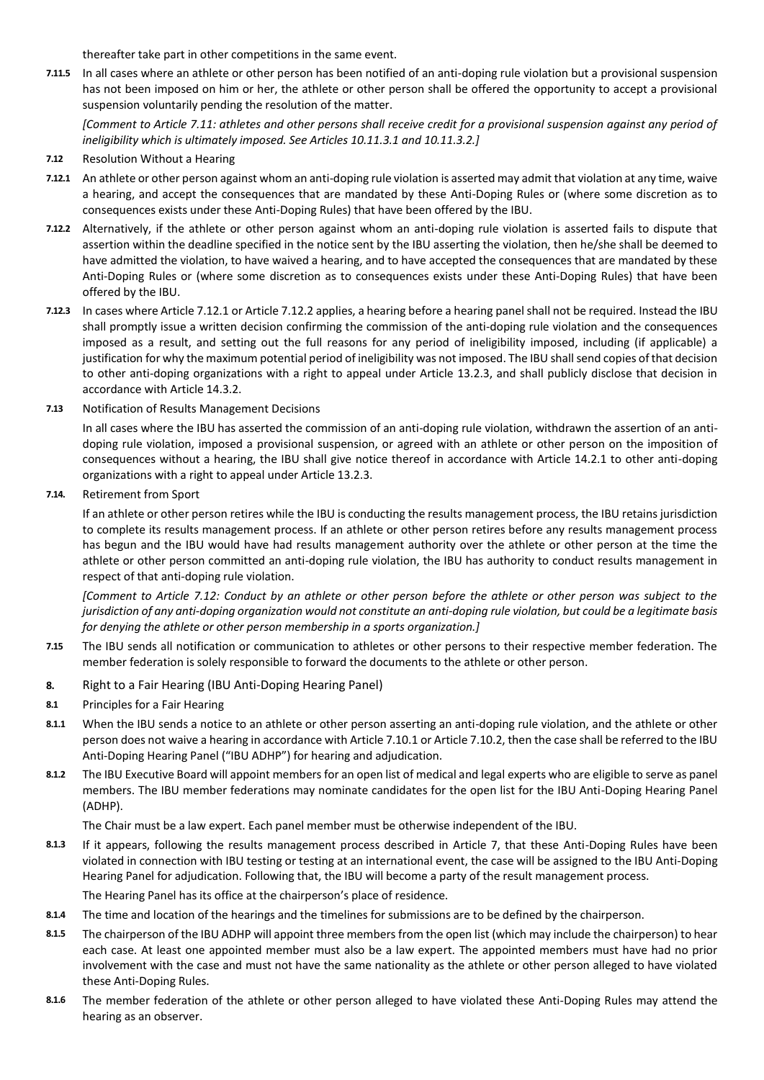thereafter take part in other competitions in the same event.

**7.11.5** In all cases where an athlete or other person has been notified of an anti-doping rule violation but a provisional suspension has not been imposed on him or her, the athlete or other person shall be offered the opportunity to accept a provisional suspension voluntarily pending the resolution of the matter.

*[Comment to Article 7.11: athletes and other persons shall receive credit for a provisional suspension against any period of ineligibility which is ultimately imposed. See Articles 10.11.3.1 and 10.11.3.2.]* 

- **7.12** Resolution Without a Hearing
- **7.12.1** An athlete or other person against whom an anti-doping rule violation is asserted may admit that violation at any time, waive a hearing, and accept the consequences that are mandated by these Anti-Doping Rules or (where some discretion as to consequences exists under these Anti-Doping Rules) that have been offered by the IBU.
- **7.12.2** Alternatively, if the athlete or other person against whom an anti-doping rule violation is asserted fails to dispute that assertion within the deadline specified in the notice sent by the IBU asserting the violation, then he/she shall be deemed to have admitted the violation, to have waived a hearing, and to have accepted the consequences that are mandated by these Anti-Doping Rules or (where some discretion as to consequences exists under these Anti-Doping Rules) that have been offered by the IBU.
- **7.12.3** In cases where Article 7.12.1 or Article 7.12.2 applies, a hearing before a hearing panel shall not be required. Instead the IBU shall promptly issue a written decision confirming the commission of the anti-doping rule violation and the consequences imposed as a result, and setting out the full reasons for any period of ineligibility imposed, including (if applicable) a justification for why the maximum potential period of ineligibility was not imposed. The IBU shall send copies of that decision to other anti-doping organizations with a right to appeal under Article 13.2.3, and shall publicly disclose that decision in accordance with Article 14.3.2.
- **7.13** Notification of Results Management Decisions

In all cases where the IBU has asserted the commission of an anti-doping rule violation, withdrawn the assertion of an antidoping rule violation, imposed a provisional suspension, or agreed with an athlete or other person on the imposition of consequences without a hearing, the IBU shall give notice thereof in accordance with Article 14.2.1 to other anti-doping organizations with a right to appeal under Article 13.2.3.

**7.14.** Retirement from Sport

If an athlete or other person retires while the IBU is conducting the results management process, the IBU retains jurisdiction to complete its results management process. If an athlete or other person retires before any results management process has begun and the IBU would have had results management authority over the athlete or other person at the time the athlete or other person committed an anti-doping rule violation, the IBU has authority to conduct results management in respect of that anti-doping rule violation.

*[Comment to Article 7.12: Conduct by an athlete or other person before the athlete or other person was subject to the jurisdiction of any anti-doping organization would not constitute an anti-doping rule violation, but could be a legitimate basis for denying the athlete or other person membership in a sports organization.]* 

- **7.15** The IBU sends all notification or communication to athletes or other persons to their respective member federation. The member federation is solely responsible to forward the documents to the athlete or other person.
- **8.** Right to a Fair Hearing (IBU Anti-Doping Hearing Panel)
- **8.1** Principles for a Fair Hearing
- **8.1.1** When the IBU sends a notice to an athlete or other person asserting an anti-doping rule violation, and the athlete or other person does not waive a hearing in accordance with Article 7.10.1 or Article 7.10.2, then the case shall be referred to the IBU Anti-Doping Hearing Panel ("IBU ADHP") for hearing and adjudication.
- **8.1.2** The IBU Executive Board will appoint members for an open list of medical and legal experts who are eligible to serve as panel members. The IBU member federations may nominate candidates for the open list for the IBU Anti-Doping Hearing Panel (ADHP).

The Chair must be a law expert. Each panel member must be otherwise independent of the IBU.

**8.1.3** If it appears, following the results management process described in Article 7, that these Anti-Doping Rules have been violated in connection with IBU testing or testing at an international event, the case will be assigned to the IBU Anti-Doping Hearing Panel for adjudication. Following that, the IBU will become a party of the result management process.

The Hearing Panel has its office at the chairperson's place of residence.

- **8.1.4** The time and location of the hearings and the timelines for submissions are to be defined by the chairperson.
- **8.1.5** The chairperson of the IBU ADHP will appoint three members from the open list (which may include the chairperson) to hear each case. At least one appointed member must also be a law expert. The appointed members must have had no prior involvement with the case and must not have the same nationality as the athlete or other person alleged to have violated these Anti-Doping Rules.
- **8.1.6** The member federation of the athlete or other person alleged to have violated these Anti-Doping Rules may attend the hearing as an observer.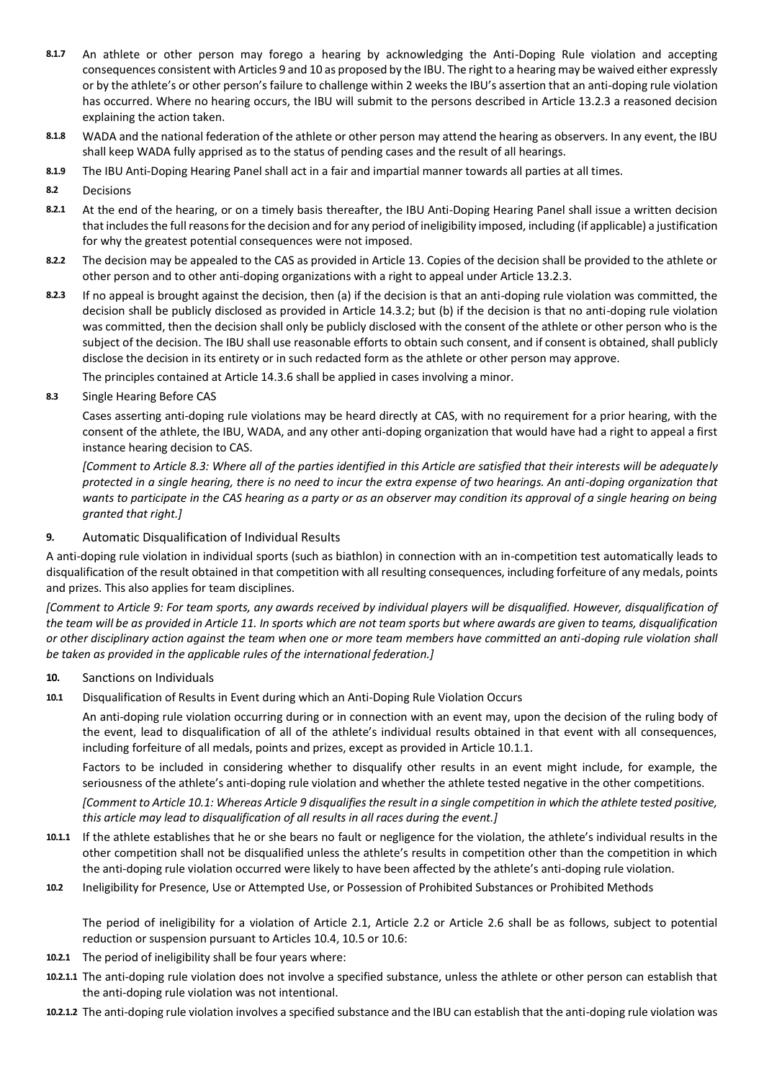- **8.1.7** An athlete or other person may forego a hearing by acknowledging the Anti-Doping Rule violation and accepting consequences consistent with Articles 9 and 10 as proposed by the IBU. The right to a hearing may be waived either expressly or by the athlete's or other person's failure to challenge within 2 weeks the IBU's assertion that an anti-doping rule violation has occurred. Where no hearing occurs, the IBU will submit to the persons described in Article 13.2.3 a reasoned decision explaining the action taken.
- **8.1.8** WADA and the national federation of the athlete or other person may attend the hearing as observers. In any event, the IBU shall keep WADA fully apprised as to the status of pending cases and the result of all hearings.
- **8.1.9** The IBU Anti-Doping Hearing Panel shall act in a fair and impartial manner towards all parties at all times.
- **8.2** Decisions
- **8.2.1** At the end of the hearing, or on a timely basis thereafter, the IBU Anti-Doping Hearing Panel shall issue a written decision that includes the full reasons for the decision and for any period of ineligibility imposed, including (if applicable) a justification for why the greatest potential consequences were not imposed.
- **8.2.2** The decision may be appealed to the CAS as provided in Article 13. Copies of the decision shall be provided to the athlete or other person and to other anti-doping organizations with a right to appeal under Article 13.2.3.
- **8.2.3** If no appeal is brought against the decision, then (a) if the decision is that an anti-doping rule violation was committed, the decision shall be publicly disclosed as provided in Article 14.3.2; but (b) if the decision is that no anti-doping rule violation was committed, then the decision shall only be publicly disclosed with the consent of the athlete or other person who is the subject of the decision. The IBU shall use reasonable efforts to obtain such consent, and if consent is obtained, shall publicly disclose the decision in its entirety or in such redacted form as the athlete or other person may approve.

The principles contained at Article 14.3.6 shall be applied in cases involving a minor.

**8.3** Single Hearing Before CAS

Cases asserting anti-doping rule violations may be heard directly at CAS, with no requirement for a prior hearing, with the consent of the athlete, the IBU, WADA, and any other anti-doping organization that would have had a right to appeal a first instance hearing decision to CAS.

*[Comment to Article 8.3: Where all of the parties identified in this Article are satisfied that their interests will be adequately protected in a single hearing, there is no need to incur the extra expense of two hearings. An anti-doping organization that wants to participate in the CAS hearing as a party or as an observer may condition its approval of a single hearing on being granted that right.]*

### **9.** Automatic Disqualification of Individual Results

A anti-doping rule violation in individual sports (such as biathlon) in connection with an in-competition test automatically leads to disqualification of the result obtained in that competition with all resulting consequences, including forfeiture of any medals, points and prizes. This also applies for team disciplines.

*[Comment to Article 9: For team sports, any awards received by individual players will be disqualified. However, disqualification of the team will be as provided in Article 11. In sports which are not team sports but where awards are given to teams, disqualification or other disciplinary action against the team when one or more team members have committed an anti-doping rule violation shall be taken as provided in the applicable rules of the international federation.]*

- **10.** Sanctions on Individuals
- **10.1** Disqualification of Results in Event during which an Anti-Doping Rule Violation Occurs

An anti-doping rule violation occurring during or in connection with an event may, upon the decision of the ruling body of the event, lead to disqualification of all of the athlete's individual results obtained in that event with all consequences, including forfeiture of all medals, points and prizes, except as provided in Article 10.1.1.

Factors to be included in considering whether to disqualify other results in an event might include, for example, the seriousness of the athlete's anti-doping rule violation and whether the athlete tested negative in the other competitions.

*[Comment to Article 10.1: Whereas Article 9 disqualifies the result in a single competition in which the athlete tested positive, this article may lead to disqualification of all results in all races during the event.]*

- **10.1.1** If the athlete establishes that he or she bears no fault or negligence for the violation, the athlete's individual results in the other competition shall not be disqualified unless the athlete's results in competition other than the competition in which the anti-doping rule violation occurred were likely to have been affected by the athlete's anti-doping rule violation.
- **10.2** Ineligibility for Presence, Use or Attempted Use, or Possession of Prohibited Substances or Prohibited Methods

The period of ineligibility for a violation of Article 2.1, Article 2.2 or Article 2.6 shall be as follows, subject to potential reduction or suspension pursuant to Articles 10.4, 10.5 or 10.6:

- **10.2.1** The period of ineligibility shall be four years where:
- **10.2.1.1** The anti-doping rule violation does not involve a specified substance, unless the athlete or other person can establish that the anti-doping rule violation was not intentional.
- **10.2.1.2** The anti-doping rule violation involves a specified substance and the IBU can establish that the anti-doping rule violation was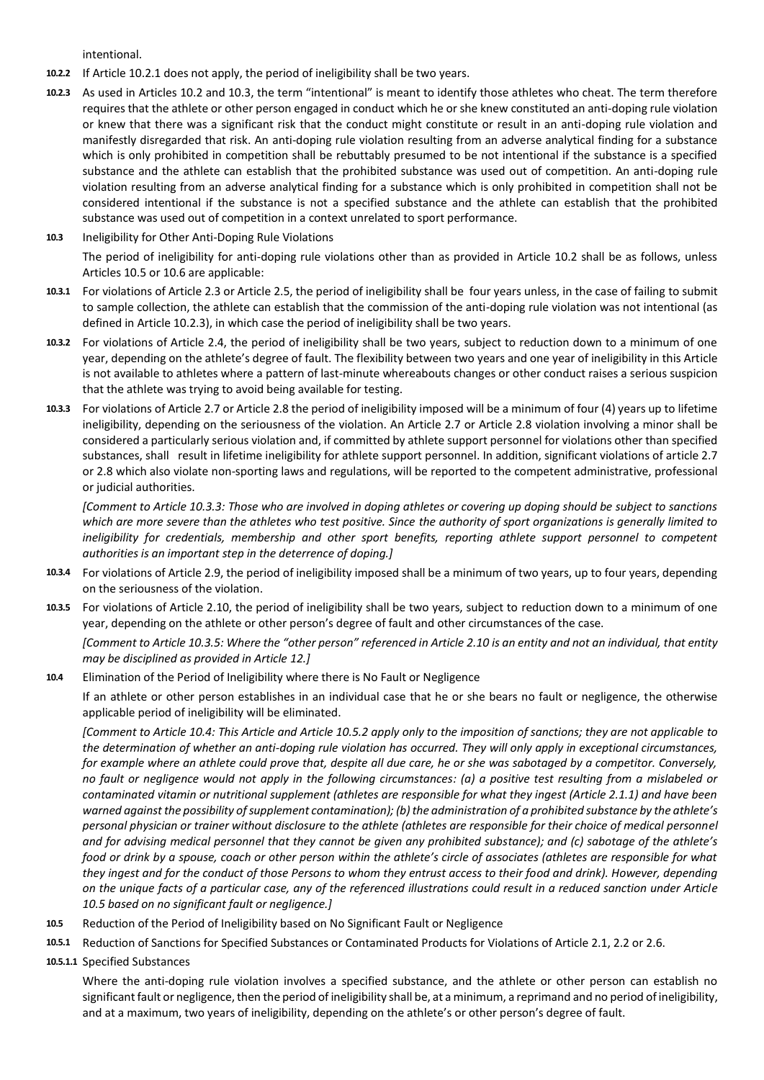intentional.

- **10.2.2** If Article 10.2.1 does not apply, the period of ineligibility shall be two years.
- **10.2.3** As used in Articles 10.2 and 10.3, the term "intentional" is meant to identify those athletes who cheat. The term therefore requires that the athlete or other person engaged in conduct which he or she knew constituted an anti-doping rule violation or knew that there was a significant risk that the conduct might constitute or result in an anti-doping rule violation and manifestly disregarded that risk. An anti-doping rule violation resulting from an adverse analytical finding for a substance which is only prohibited in competition shall be rebuttably presumed to be not intentional if the substance is a specified substance and the athlete can establish that the prohibited substance was used out of competition. An anti-doping rule violation resulting from an adverse analytical finding for a substance which is only prohibited in competition shall not be considered intentional if the substance is not a specified substance and the athlete can establish that the prohibited substance was used out of competition in a context unrelated to sport performance.
- **10.3** Ineligibility for Other Anti-Doping Rule Violations The period of ineligibility for anti-doping rule violations other than as provided in Article 10.2 shall be as follows, unless Articles 10.5 or 10.6 are applicable:
- **10.3.1** For violations of Article 2.3 or Article 2.5, the period of ineligibility shall be four years unless, in the case of failing to submit to sample collection, the athlete can establish that the commission of the anti-doping rule violation was not intentional (as defined in Article 10.2.3), in which case the period of ineligibility shall be two years.
- **10.3.2** For violations of Article 2.4, the period of ineligibility shall be two years, subject to reduction down to a minimum of one year, depending on the athlete's degree of fault. The flexibility between two years and one year of ineligibility in this Article is not available to athletes where a pattern of last-minute whereabouts changes or other conduct raises a serious suspicion that the athlete was trying to avoid being available for testing.
- **10.3.3** For violations of Article 2.7 or Article 2.8 the period of ineligibility imposed will be a minimum of four (4) years up to lifetime ineligibility, depending on the seriousness of the violation. An Article 2.7 or Article 2.8 violation involving a minor shall be considered a particularly serious violation and, if committed by athlete support personnel for violations other than specified substances, shall result in lifetime ineligibility for athlete support personnel. In addition, significant violations of article 2.7 or 2.8 which also violate non-sporting laws and regulations, will be reported to the competent administrative, professional or judicial authorities.

*[Comment to Article 10.3.3: Those who are involved in doping athletes or covering up doping should be subject to sanctions which are more severe than the athletes who test positive. Since the authority of sport organizations is generally limited to*  ineligibility for credentials, membership and other sport benefits, reporting athlete support personnel to competent *authorities is an important step in the deterrence of doping.]*

- **10.3.4** For violations of Article 2.9, the period of ineligibility imposed shall be a minimum of two years, up to four years, depending on the seriousness of the violation.
- **10.3.5** For violations of Article 2.10, the period of ineligibility shall be two years, subject to reduction down to a minimum of one year, depending on the athlete or other person's degree of fault and other circumstances of the case. *[Comment to Article 10.3.5: Where the "other person" referenced in Article 2.10 is an entity and not an individual, that entity may be disciplined as provided in Article 12.]*
- **10.4** Elimination of the Period of Ineligibility where there is No Fault or Negligence

If an athlete or other person establishes in an individual case that he or she bears no fault or negligence, the otherwise applicable period of ineligibility will be eliminated.

*[Comment to Article 10.4: This Article and Article 10.5.2 apply only to the imposition of sanctions; they are not applicable to the determination of whether an anti-doping rule violation has occurred. They will only apply in exceptional circumstances, for example where an athlete could prove that, despite all due care, he or she was sabotaged by a competitor. Conversely, no fault or negligence would not apply in the following circumstances: (a) a positive test resulting from a mislabeled or contaminated vitamin or nutritional supplement (athletes are responsible for what they ingest (Article 2.1.1) and have been warned against the possibility of supplement contamination); (b) the administration of a prohibited substance by the athlete's personal physician or trainer without disclosure to the athlete (athletes are responsible for their choice of medical personnel and for advising medical personnel that they cannot be given any prohibited substance); and (c) sabotage of the athlete's food or drink by a spouse, coach or other person within the athlete's circle of associates (athletes are responsible for what they ingest and for the conduct of those Persons to whom they entrust access to their food and drink). However, depending on the unique facts of a particular case, any of the referenced illustrations could result in a reduced sanction under Article 10.5 based on no significant fault or negligence.]*

- **10.5** Reduction of the Period of Ineligibility based on No Significant Fault or Negligence
- **10.5.1** Reduction of Sanctions for Specified Substances or Contaminated Products for Violations of Article 2.1, 2.2 or 2.6.
- **10.5.1.1** Specified Substances

Where the anti-doping rule violation involves a specified substance, and the athlete or other person can establish no significant fault or negligence, then the period of ineligibility shall be, at a minimum, a reprimand and no period of ineligibility, and at a maximum, two years of ineligibility, depending on the athlete's or other person's degree of fault.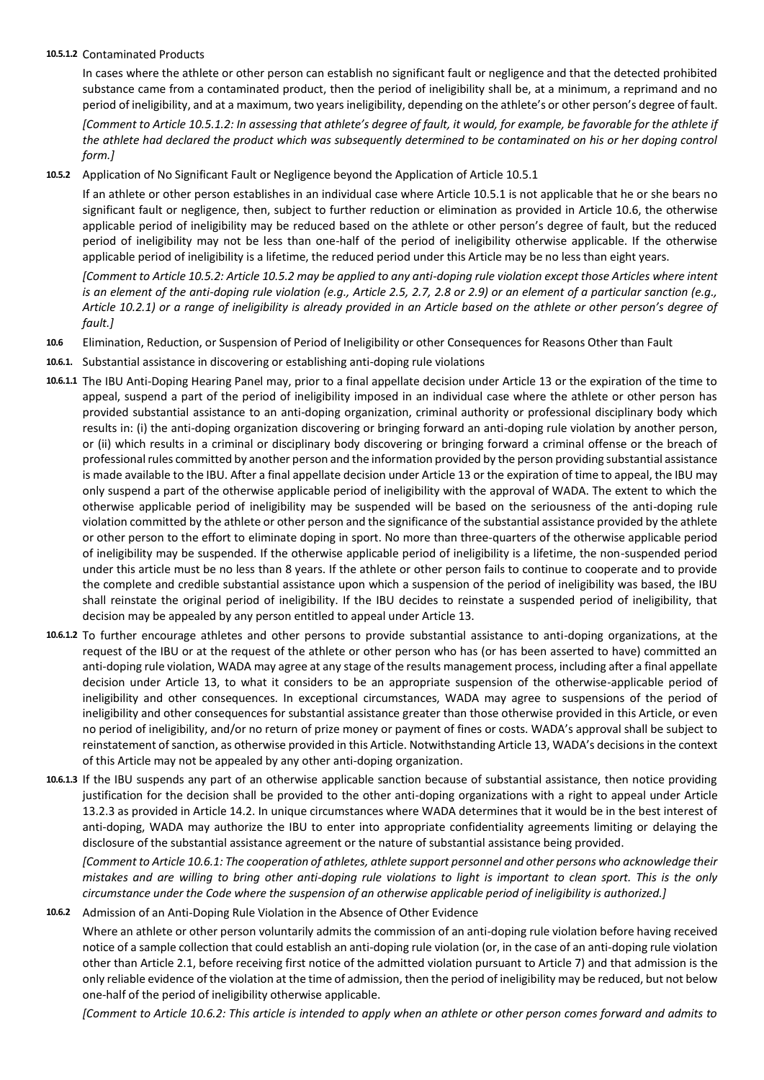## **10.5.1.2** Contaminated Products

In cases where the athlete or other person can establish no significant fault or negligence and that the detected prohibited substance came from a contaminated product, then the period of ineligibility shall be, at a minimum, a reprimand and no period of ineligibility, and at a maximum, two years ineligibility, depending on the athlete's or other person's degree of fault.

*[Comment to Article 10.5.1.2: In assessing that athlete's degree of fault, it would, for example, be favorable for the athlete if the athlete had declared the product which was subsequently determined to be contaminated on his or her doping control form.]*

# **10.5.2** Application of No Significant Fault or Negligence beyond the Application of Article 10.5.1

If an athlete or other person establishes in an individual case where Article 10.5.1 is not applicable that he or she bears no significant fault or negligence, then, subject to further reduction or elimination as provided in Article 10.6, the otherwise applicable period of ineligibility may be reduced based on the athlete or other person's degree of fault, but the reduced period of ineligibility may not be less than one-half of the period of ineligibility otherwise applicable. If the otherwise applicable period of ineligibility is a lifetime, the reduced period under this Article may be no less than eight years.

*[Comment to Article 10.5.2: Article 10.5.2 may be applied to any anti-doping rule violation except those Articles where intent is an element of the anti-doping rule violation (e.g., Article 2.5, 2.7, 2.8 or 2.9) or an element of a particular sanction (e.g., Article 10.2.1) or a range of ineligibility is already provided in an Article based on the athlete or other person's degree of fault.]*

- **10.6** Elimination, Reduction, or Suspension of Period of Ineligibility or other Consequences for Reasons Other than Fault
- **10.6.1.** Substantial assistance in discovering or establishing anti-doping rule violations
- **10.6.1.1** The IBU Anti-Doping Hearing Panel may, prior to a final appellate decision under Article 13 or the expiration of the time to appeal, suspend a part of the period of ineligibility imposed in an individual case where the athlete or other person has provided substantial assistance to an anti-doping organization, criminal authority or professional disciplinary body which results in: (i) the anti-doping organization discovering or bringing forward an anti-doping rule violation by another person, or (ii) which results in a criminal or disciplinary body discovering or bringing forward a criminal offense or the breach of professional rules committed by another person and the information provided by the person providing substantial assistance is made available to the IBU. After a final appellate decision under Article 13 or the expiration of time to appeal, the IBU may only suspend a part of the otherwise applicable period of ineligibility with the approval of WADA. The extent to which the otherwise applicable period of ineligibility may be suspended will be based on the seriousness of the anti-doping rule violation committed by the athlete or other person and the significance of the substantial assistance provided by the athlete or other person to the effort to eliminate doping in sport. No more than three-quarters of the otherwise applicable period of ineligibility may be suspended. If the otherwise applicable period of ineligibility is a lifetime, the non-suspended period under this article must be no less than 8 years. If the athlete or other person fails to continue to cooperate and to provide the complete and credible substantial assistance upon which a suspension of the period of ineligibility was based, the IBU shall reinstate the original period of ineligibility. If the IBU decides to reinstate a suspended period of ineligibility, that decision may be appealed by any person entitled to appeal under Article 13.
- **10.6.1.2** To further encourage athletes and other persons to provide substantial assistance to anti-doping organizations, at the request of the IBU or at the request of the athlete or other person who has (or has been asserted to have) committed an anti-doping rule violation, WADA may agree at any stage of the results management process, including after a final appellate decision under Article 13, to what it considers to be an appropriate suspension of the otherwise-applicable period of ineligibility and other consequences. In exceptional circumstances, WADA may agree to suspensions of the period of ineligibility and other consequences for substantial assistance greater than those otherwise provided in this Article, or even no period of ineligibility, and/or no return of prize money or payment of fines or costs. WADA's approval shall be subject to reinstatement of sanction, as otherwise provided in this Article. Notwithstanding Article 13, WADA's decisions in the context of this Article may not be appealed by any other anti-doping organization.
- **10.6.1.3** If the IBU suspends any part of an otherwise applicable sanction because of substantial assistance, then notice providing justification for the decision shall be provided to the other anti-doping organizations with a right to appeal under Article 13.2.3 as provided in Article 14.2. In unique circumstances where WADA determines that it would be in the best interest of anti-doping, WADA may authorize the IBU to enter into appropriate confidentiality agreements limiting or delaying the disclosure of the substantial assistance agreement or the nature of substantial assistance being provided.

*[Comment to Article 10.6.1: The cooperation of athletes, athlete support personnel and other persons who acknowledge their mistakes and are willing to bring other anti-doping rule violations to light is important to clean sport. This is the only circumstance under the Code where the suspension of an otherwise applicable period of ineligibility is authorized.]*

## **10.6.2** Admission of an Anti-Doping Rule Violation in the Absence of Other Evidence

Where an athlete or other person voluntarily admits the commission of an anti-doping rule violation before having received notice of a sample collection that could establish an anti-doping rule violation (or, in the case of an anti-doping rule violation other than Article 2.1, before receiving first notice of the admitted violation pursuant to Article 7) and that admission is the only reliable evidence of the violation at the time of admission, then the period of ineligibility may be reduced, but not below one-half of the period of ineligibility otherwise applicable.

*[Comment to Article 10.6.2: This article is intended to apply when an athlete or other person comes forward and admits to*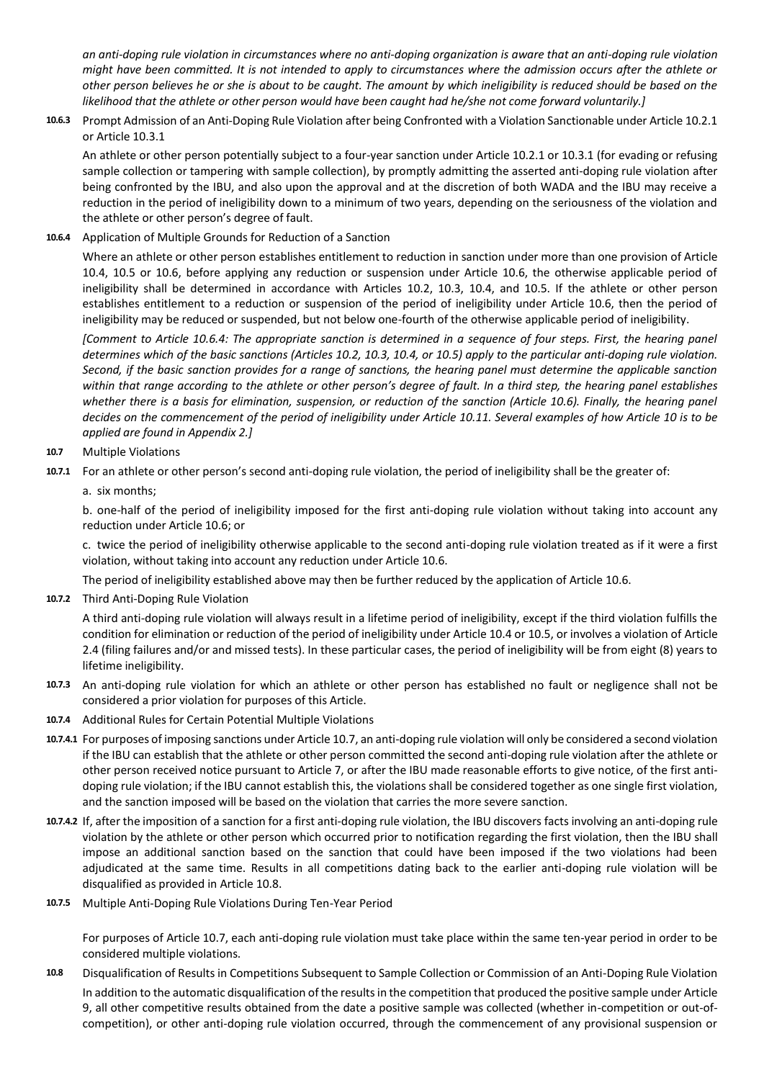*an anti-doping rule violation in circumstances where no anti-doping organization is aware that an anti-doping rule violation might have been committed. It is not intended to apply to circumstances where the admission occurs after the athlete or other person believes he or she is about to be caught. The amount by which ineligibility is reduced should be based on the likelihood that the athlete or other person would have been caught had he/she not come forward voluntarily.]*

**10.6.3** Prompt Admission of an Anti-Doping Rule Violation after being Confronted with a Violation Sanctionable under Article 10.2.1 or Article 10.3.1

An athlete or other person potentially subject to a four-year sanction under Article 10.2.1 or 10.3.1 (for evading or refusing sample collection or tampering with sample collection), by promptly admitting the asserted anti-doping rule violation after being confronted by the IBU, and also upon the approval and at the discretion of both WADA and the IBU may receive a reduction in the period of ineligibility down to a minimum of two years, depending on the seriousness of the violation and the athlete or other person's degree of fault.

**10.6.4** Application of Multiple Grounds for Reduction of a Sanction

Where an athlete or other person establishes entitlement to reduction in sanction under more than one provision of Article 10.4, 10.5 or 10.6, before applying any reduction or suspension under Article 10.6, the otherwise applicable period of ineligibility shall be determined in accordance with Articles 10.2, 10.3, 10.4, and 10.5. If the athlete or other person establishes entitlement to a reduction or suspension of the period of ineligibility under Article 10.6, then the period of ineligibility may be reduced or suspended, but not below one-fourth of the otherwise applicable period of ineligibility.

*[Comment to Article 10.6.4: The appropriate sanction is determined in a sequence of four steps. First, the hearing panel determines which of the basic sanctions (Articles 10.2, 10.3, 10.4, or 10.5) apply to the particular anti-doping rule violation. Second, if the basic sanction provides for a range of sanctions, the hearing panel must determine the applicable sanction within that range according to the athlete or other person's degree of fault. In a third step, the hearing panel establishes whether there is a basis for elimination, suspension, or reduction of the sanction (Article 10.6). Finally, the hearing panel decides on the commencement of the period of ineligibility under Article 10.11. Several examples of how Article 10 is to be applied are found in Appendix 2.]*

- **10.7** Multiple Violations
- **10.7.1** For an athlete or other person's second anti-doping rule violation, the period of ineligibility shall be the greater of:

a. six months;

b. one-half of the period of ineligibility imposed for the first anti-doping rule violation without taking into account any reduction under Article 10.6; or

c. twice the period of ineligibility otherwise applicable to the second anti-doping rule violation treated as if it were a first violation, without taking into account any reduction under Article 10.6.

The period of ineligibility established above may then be further reduced by the application of Article 10.6.

**10.7.2** Third Anti-Doping Rule Violation

A third anti-doping rule violation will always result in a lifetime period of ineligibility, except if the third violation fulfills the condition for elimination or reduction of the period of ineligibility under Article 10.4 or 10.5, or involves a violation of Article 2.4 (filing failures and/or and missed tests). In these particular cases, the period of ineligibility will be from eight (8) years to lifetime ineligibility.

- **10.7.3** An anti-doping rule violation for which an athlete or other person has established no fault or negligence shall not be considered a prior violation for purposes of this Article.
- **10.7.4** Additional Rules for Certain Potential Multiple Violations
- **10.7.4.1** For purposes of imposing sanctions under Article 10.7, an anti-doping rule violation will only be considered a second violation if the IBU can establish that the athlete or other person committed the second anti-doping rule violation after the athlete or other person received notice pursuant to Article 7, or after the IBU made reasonable efforts to give notice, of the first antidoping rule violation; if the IBU cannot establish this, the violations shall be considered together as one single first violation, and the sanction imposed will be based on the violation that carries the more severe sanction.
- **10.7.4.2** If, after the imposition of a sanction for a first anti-doping rule violation, the IBU discovers facts involving an anti-doping rule violation by the athlete or other person which occurred prior to notification regarding the first violation, then the IBU shall impose an additional sanction based on the sanction that could have been imposed if the two violations had been adjudicated at the same time. Results in all competitions dating back to the earlier anti-doping rule violation will be disqualified as provided in Article 10.8.
- **10.7.5** Multiple Anti-Doping Rule Violations During Ten-Year Period

For purposes of Article 10.7, each anti-doping rule violation must take place within the same ten-year period in order to be considered multiple violations.

**10.8** Disqualification of Results in Competitions Subsequent to Sample Collection or Commission of an Anti-Doping Rule Violation In addition to the automatic disqualification of the results in the competition that produced the positive sample under Article 9, all other competitive results obtained from the date a positive sample was collected (whether in-competition or out-ofcompetition), or other anti-doping rule violation occurred, through the commencement of any provisional suspension or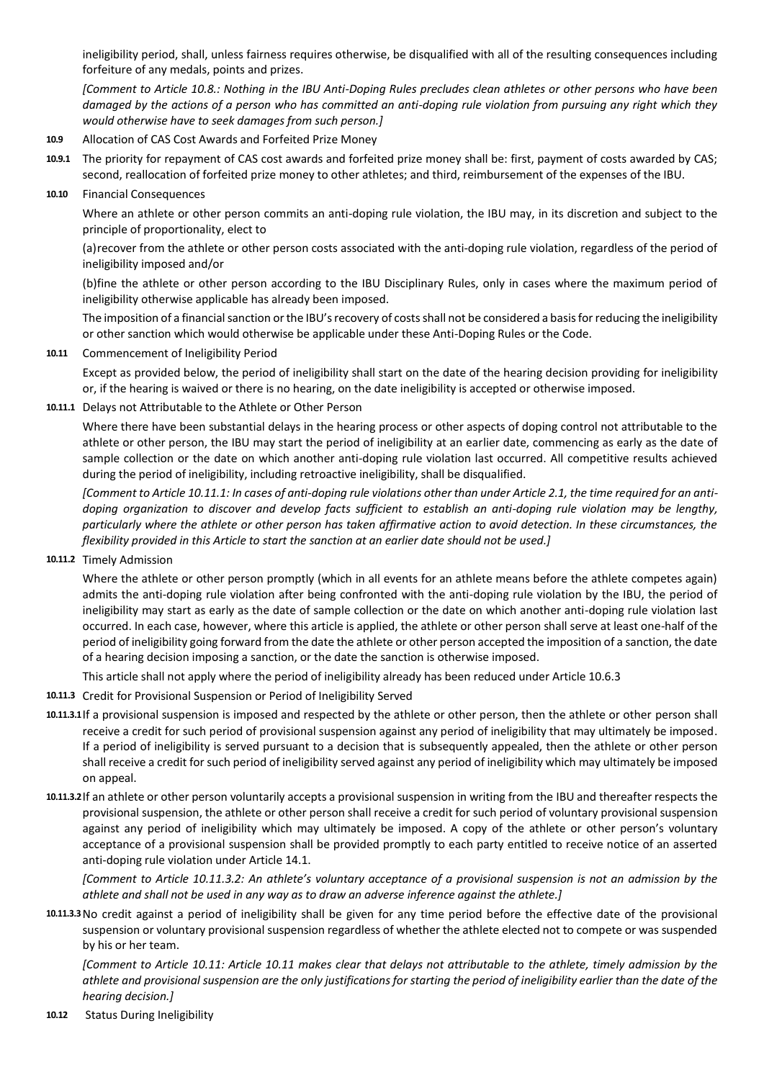ineligibility period, shall, unless fairness requires otherwise, be disqualified with all of the resulting consequences including forfeiture of any medals, points and prizes.

*[Comment to Article 10.8.: Nothing in the IBU Anti-Doping Rules precludes clean athletes or other persons who have been damaged by the actions of a person who has committed an anti-doping rule violation from pursuing any right which they would otherwise have to seek damages from such person.]*

- **10.9** Allocation of CAS Cost Awards and Forfeited Prize Money
- **10.9.1** The priority for repayment of CAS cost awards and forfeited prize money shall be: first, payment of costs awarded by CAS; second, reallocation of forfeited prize money to other athletes; and third, reimbursement of the expenses of the IBU.
- **10.10** Financial Consequences

Where an athlete or other person commits an anti-doping rule violation, the IBU may, in its discretion and subject to the principle of proportionality, elect to

(a)recover from the athlete or other person costs associated with the anti-doping rule violation, regardless of the period of ineligibility imposed and/or

(b)fine the athlete or other person according to the IBU Disciplinary Rules, only in cases where the maximum period of ineligibility otherwise applicable has already been imposed.

The imposition of a financial sanction or the IBU's recovery of costs shall not be considered a basis for reducing the ineligibility or other sanction which would otherwise be applicable under these Anti-Doping Rules or the Code.

**10.11** Commencement of Ineligibility Period

Except as provided below, the period of ineligibility shall start on the date of the hearing decision providing for ineligibility or, if the hearing is waived or there is no hearing, on the date ineligibility is accepted or otherwise imposed.

**10.11.1** Delays not Attributable to the Athlete or Other Person

Where there have been substantial delays in the hearing process or other aspects of doping control not attributable to the athlete or other person, the IBU may start the period of ineligibility at an earlier date, commencing as early as the date of sample collection or the date on which another anti-doping rule violation last occurred. All competitive results achieved during the period of ineligibility, including retroactive ineligibility, shall be disqualified.

*[Comment to Article 10.11.1: In cases of anti-doping rule violations other than under Article 2.1, the time required for an antidoping organization to discover and develop facts sufficient to establish an anti-doping rule violation may be lengthy, particularly where the athlete or other person has taken affirmative action to avoid detection. In these circumstances, the flexibility provided in this Article to start the sanction at an earlier date should not be used.]*

**10.11.2** Timely Admission

Where the athlete or other person promptly (which in all events for an athlete means before the athlete competes again) admits the anti-doping rule violation after being confronted with the anti-doping rule violation by the IBU, the period of ineligibility may start as early as the date of sample collection or the date on which another anti-doping rule violation last occurred. In each case, however, where this article is applied, the athlete or other person shall serve at least one-half of the period of ineligibility going forward from the date the athlete or other person accepted the imposition of a sanction, the date of a hearing decision imposing a sanction, or the date the sanction is otherwise imposed.

This article shall not apply where the period of ineligibility already has been reduced under Article 10.6.3

- **10.11.3** Credit for Provisional Suspension or Period of Ineligibility Served
- **10.11.3.1**If a provisional suspension is imposed and respected by the athlete or other person, then the athlete or other person shall receive a credit for such period of provisional suspension against any period of ineligibility that may ultimately be imposed. If a period of ineligibility is served pursuant to a decision that is subsequently appealed, then the athlete or other person shall receive a credit for such period of ineligibility served against any period of ineligibility which may ultimately be imposed on appeal.
- **10.11.3.2**If an athlete or other person voluntarily accepts a provisional suspension in writing from the IBU and thereafter respects the provisional suspension, the athlete or other person shall receive a credit for such period of voluntary provisional suspension against any period of ineligibility which may ultimately be imposed. A copy of the athlete or other person's voluntary acceptance of a provisional suspension shall be provided promptly to each party entitled to receive notice of an asserted anti-doping rule violation under Article 14.1.

*[Comment to Article 10.11.3.2: An athlete's voluntary acceptance of a provisional suspension is not an admission by the athlete and shall not be used in any way as to draw an adverse inference against the athlete.]*

**10.11.3.3**No credit against a period of ineligibility shall be given for any time period before the effective date of the provisional suspension or voluntary provisional suspension regardless of whether the athlete elected not to compete or was suspended by his or her team.

*[Comment to Article 10.11: Article 10.11 makes clear that delays not attributable to the athlete, timely admission by the athlete and provisional suspension are the only justifications for starting the period of ineligibility earlier than the date of the hearing decision.]*

**10.12** Status During Ineligibility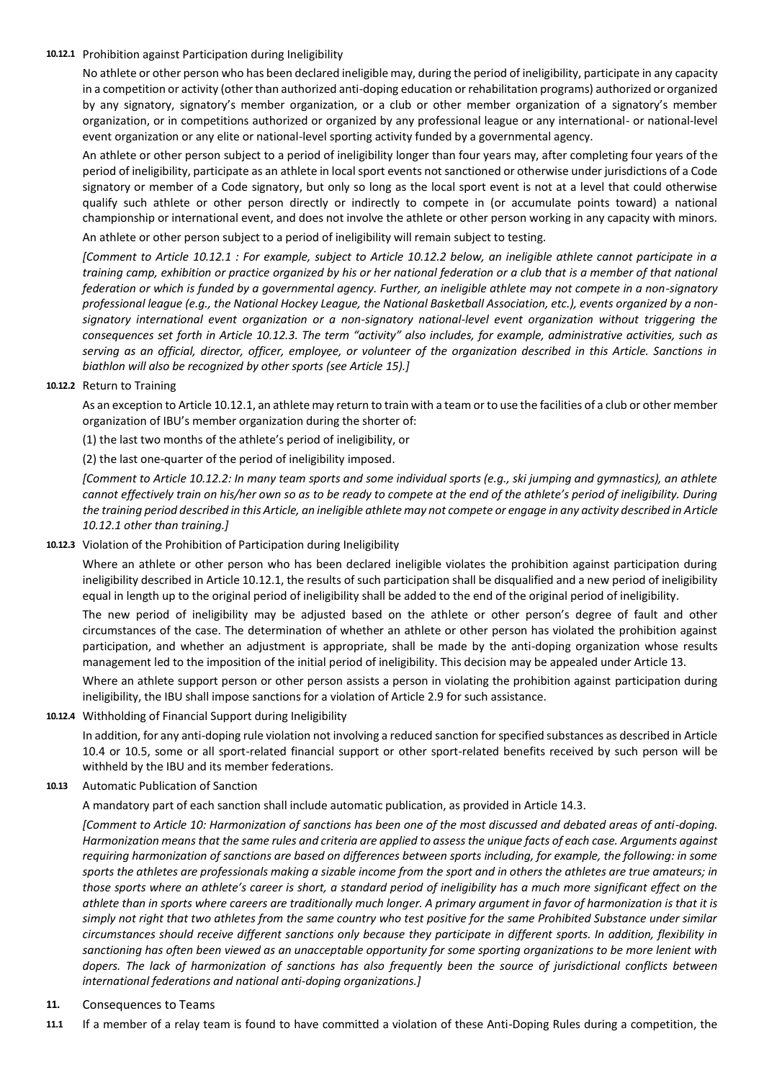## **10.12.1** Prohibition against Participation during Ineligibility

No athlete or other person who has been declared ineligible may, during the period of ineligibility, participate in any capacity in a competition or activity (other than authorized anti-doping education or rehabilitation programs) authorized or organized by any signatory, signatory's member organization, or a club or other member organization of a signatory's member organization, or in competitions authorized or organized by any professional league or any international- or national-level event organization or any elite or national-level sporting activity funded by a governmental agency.

An athlete or other person subject to a period of ineligibility longer than four years may, after completing four years of the period of ineligibility, participate as an athlete in local sport events not sanctioned or otherwise under jurisdictions of a Code signatory or member of a Code signatory, but only so long as the local sport event is not at a level that could otherwise qualify such athlete or other person directly or indirectly to compete in (or accumulate points toward) a national championship or international event, and does not involve the athlete or other person working in any capacity with minors.

An athlete or other person subject to a period of ineligibility will remain subject to testing.

*[Comment to Article 10.12.1 : For example, subject to Article 10.12.2 below, an ineligible athlete cannot participate in a training camp, exhibition or practice organized by his or her national federation or a club that is a member of that national federation or which is funded by a governmental agency. Further, an ineligible athlete may not compete in a non-signatory professional league (e.g., the National Hockey League, the National Basketball Association, etc.), events organized by a nonsignatory international event organization or a non-signatory national-level event organization without triggering the consequences set forth in Article 10.12.3. The term "activity" also includes, for example, administrative activities, such as serving as an official, director, officer, employee, or volunteer of the organization described in this Article. Sanctions in biathlon will also be recognized by other sports (see Article 15).]*

#### **10.12.2** Return to Training

As an exception to Article 10.12.1, an athlete may return to train with a team or to use the facilities of a club or other member organization of IBU's member organization during the shorter of:

(1) the last two months of the athlete's period of ineligibility, or

(2) the last one-quarter of the period of ineligibility imposed.

*[Comment to Article 10.12.2: In many team sports and some individual sports (e.g., ski jumping and gymnastics), an athlete cannot effectively train on his/her own so as to be ready to compete at the end of the athlete's period of ineligibility. During the training period described in this Article, an ineligible athlete may not compete or engage in any activity described in Article 10.12.1 other than training.]*

#### **10.12.3** Violation of the Prohibition of Participation during Ineligibility

Where an athlete or other person who has been declared ineligible violates the prohibition against participation during ineligibility described in Article 10.12.1, the results of such participation shall be disqualified and a new period of ineligibility equal in length up to the original period of ineligibility shall be added to the end of the original period of ineligibility.

The new period of ineligibility may be adjusted based on the athlete or other person's degree of fault and other circumstances of the case. The determination of whether an athlete or other person has violated the prohibition against participation, and whether an adjustment is appropriate, shall be made by the anti-doping organization whose results management led to the imposition of the initial period of ineligibility. This decision may be appealed under Article 13.

Where an athlete support person or other person assists a person in violating the prohibition against participation during ineligibility, the IBU shall impose sanctions for a violation of Article 2.9 for such assistance.

#### **10.12.4** Withholding of Financial Support during Ineligibility

In addition, for any anti-doping rule violation not involving a reduced sanction for specified substances as described in Article 10.4 or 10.5, some or all sport-related financial support or other sport-related benefits received by such person will be withheld by the IBU and its member federations.

#### **10.13** Automatic Publication of Sanction

A mandatory part of each sanction shall include automatic publication, as provided in Article 14.3.

*[Comment to Article 10: Harmonization of sanctions has been one of the most discussed and debated areas of anti-doping. Harmonization means that the same rules and criteria are applied to assess the unique facts of each case. Arguments against requiring harmonization of sanctions are based on differences between sports including, for example, the following: in some sports the athletes are professionals making a sizable income from the sport and in others the athletes are true amateurs; in those sports where an athlete's career is short, a standard period of ineligibility has a much more significant effect on the athlete than in sports where careers are traditionally much longer. A primary argument in favor of harmonization is that it is simply not right that two athletes from the same country who test positive for the same Prohibited Substance under similar circumstances should receive different sanctions only because they participate in different sports. In addition, flexibility in sanctioning has often been viewed as an unacceptable opportunity for some sporting organizations to be more lenient with dopers. The lack of harmonization of sanctions has also frequently been the source of jurisdictional conflicts between international federations and national anti-doping organizations.]*

#### **11.** Consequences to Teams

**11.1** If a member of a relay team is found to have committed a violation of these Anti-Doping Rules during a competition, the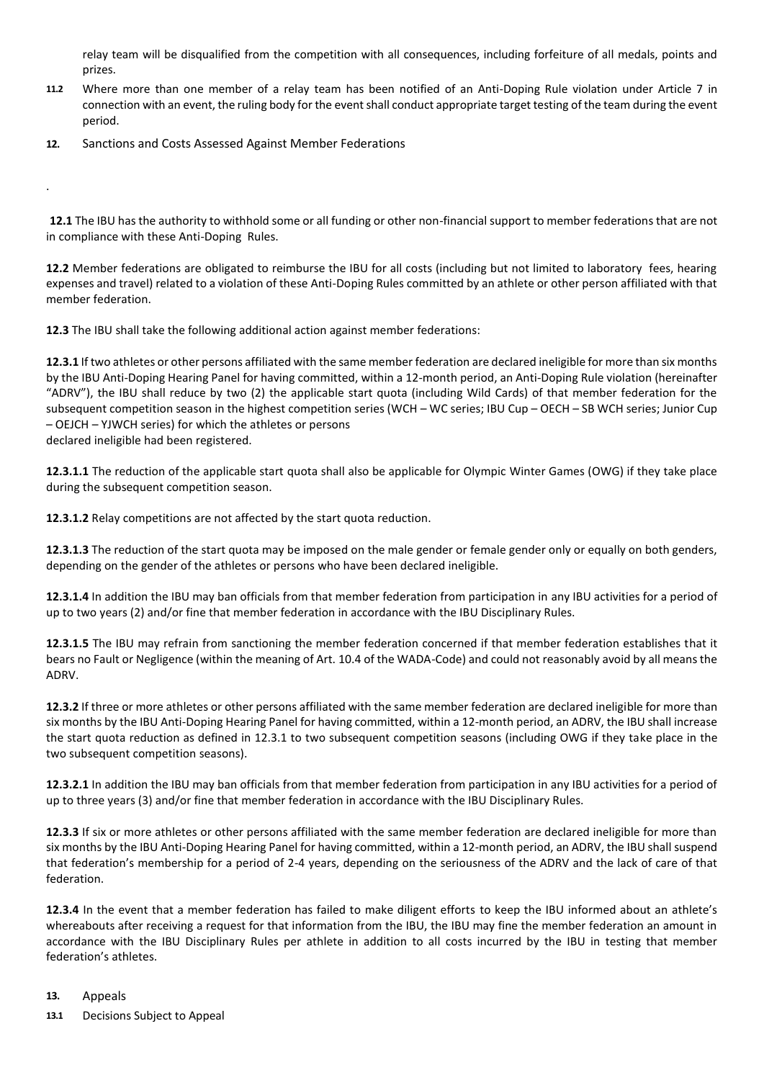relay team will be disqualified from the competition with all consequences, including forfeiture of all medals, points and prizes.

- **11.2** Where more than one member of a relay team has been notified of an Anti-Doping Rule violation under Article 7 in connection with an event, the ruling body for the event shall conduct appropriate target testing of the team during the event period.
- **12.** Sanctions and Costs Assessed Against Member Federations

.

**12.1** The IBU has the authority to withhold some or all funding or other non-financial support to member federations that are not in compliance with these Anti-Doping Rules.

**12.2** Member federations are obligated to reimburse the IBU for all costs (including but not limited to laboratory fees, hearing expenses and travel) related to a violation of these Anti-Doping Rules committed by an athlete or other person affiliated with that member federation.

**12.3** The IBU shall take the following additional action against member federations:

**12.3.1** If two athletes or other persons affiliated with the same member federation are declared ineligible for more than six months by the IBU Anti-Doping Hearing Panel for having committed, within a 12-month period, an Anti-Doping Rule violation (hereinafter "ADRV"), the IBU shall reduce by two (2) the applicable start quota (including Wild Cards) of that member federation for the subsequent competition season in the highest competition series (WCH – WC series; IBU Cup – OECH – SB WCH series; Junior Cup – OEJCH – YJWCH series) for which the athletes or persons declared ineligible had been registered.

**12.3.1.1** The reduction of the applicable start quota shall also be applicable for Olympic Winter Games (OWG) if they take place during the subsequent competition season.

**12.3.1.2** Relay competitions are not affected by the start quota reduction.

**12.3.1.3** The reduction of the start quota may be imposed on the male gender or female gender only or equally on both genders, depending on the gender of the athletes or persons who have been declared ineligible.

**12.3.1.4** In addition the IBU may ban officials from that member federation from participation in any IBU activities for a period of up to two years (2) and/or fine that member federation in accordance with the IBU Disciplinary Rules.

**12.3.1.5** The IBU may refrain from sanctioning the member federation concerned if that member federation establishes that it bears no Fault or Negligence (within the meaning of Art. 10.4 of the WADA-Code) and could not reasonably avoid by all means the ADRV.

**12.3.2** If three or more athletes or other persons affiliated with the same member federation are declared ineligible for more than six months by the IBU Anti-Doping Hearing Panel for having committed, within a 12-month period, an ADRV, the IBU shall increase the start quota reduction as defined in 12.3.1 to two subsequent competition seasons (including OWG if they take place in the two subsequent competition seasons).

**12.3.2.1** In addition the IBU may ban officials from that member federation from participation in any IBU activities for a period of up to three years (3) and/or fine that member federation in accordance with the IBU Disciplinary Rules.

**12.3.3** If six or more athletes or other persons affiliated with the same member federation are declared ineligible for more than six months by the IBU Anti-Doping Hearing Panel for having committed, within a 12-month period, an ADRV, the IBU shall suspend that federation's membership for a period of 2-4 years, depending on the seriousness of the ADRV and the lack of care of that federation.

**12.3.4** In the event that a member federation has failed to make diligent efforts to keep the IBU informed about an athlete's whereabouts after receiving a request for that information from the IBU, the IBU may fine the member federation an amount in accordance with the IBU Disciplinary Rules per athlete in addition to all costs incurred by the IBU in testing that member federation's athletes.

## **13.** Appeals

**13.1** Decisions Subject to Appeal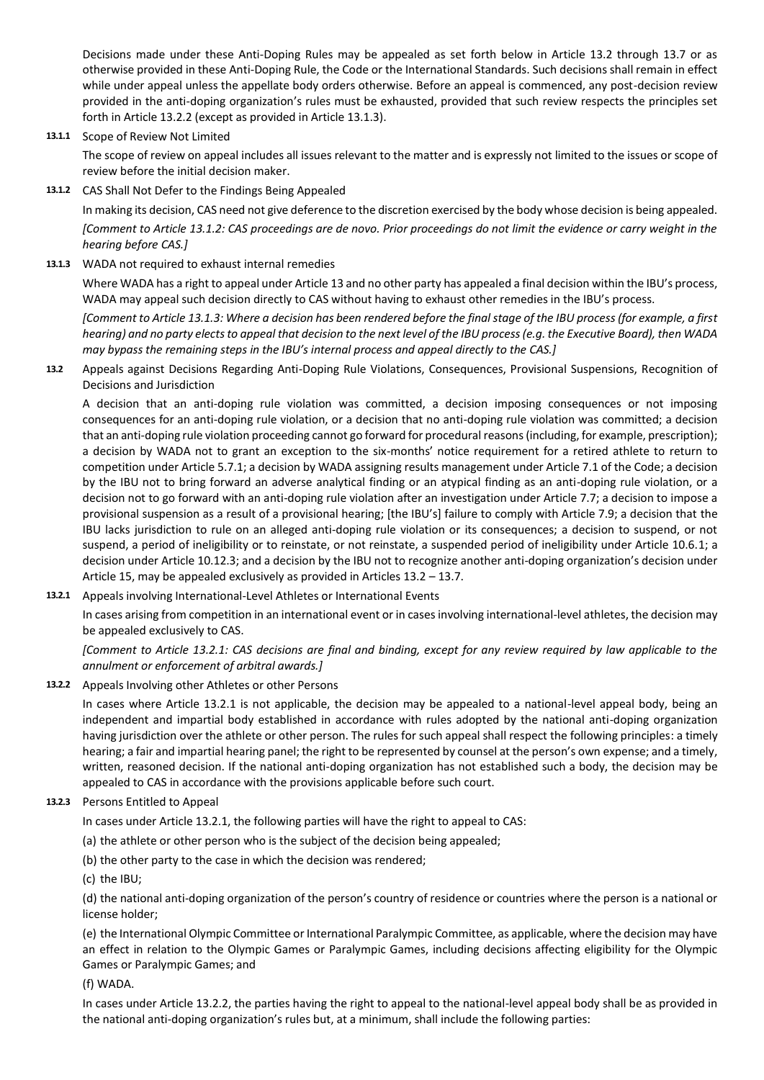Decisions made under these Anti-Doping Rules may be appealed as set forth below in Article 13.2 through 13.7 or as otherwise provided in these Anti-Doping Rule, the Code or the International Standards. Such decisions shall remain in effect while under appeal unless the appellate body orders otherwise. Before an appeal is commenced, any post-decision review provided in the anti-doping organization's rules must be exhausted, provided that such review respects the principles set forth in Article 13.2.2 (except as provided in Article 13.1.3).

# **13.1.1** Scope of Review Not Limited

The scope of review on appeal includes all issues relevant to the matter and is expressly not limited to the issues or scope of review before the initial decision maker.

**13.1.2** CAS Shall Not Defer to the Findings Being Appealed

In making its decision, CAS need not give deference to the discretion exercised by the body whose decision is being appealed. *[Comment to Article 13.1.2: CAS proceedings are de novo. Prior proceedings do not limit the evidence or carry weight in the hearing before CAS.]*

# **13.1.3** WADA not required to exhaust internal remedies

Where WADA has a right to appeal under Article 13 and no other party has appealed a final decision within the IBU's process, WADA may appeal such decision directly to CAS without having to exhaust other remedies in the IBU's process.

*[Comment to Article 13.1.3: Where a decision has been rendered before the final stage of the IBU process (for example, a first hearing) and no party elects to appeal that decision to the next level of the IBU process (e.g. the Executive Board), then WADA may bypass the remaining steps in the IBU's internal process and appeal directly to the CAS.]*

**13.2** Appeals against Decisions Regarding Anti-Doping Rule Violations, Consequences, Provisional Suspensions, Recognition of Decisions and Jurisdiction

A decision that an anti-doping rule violation was committed, a decision imposing consequences or not imposing consequences for an anti-doping rule violation, or a decision that no anti-doping rule violation was committed; a decision that an anti-doping rule violation proceeding cannot go forward for procedural reasons (including, for example, prescription); a decision by WADA not to grant an exception to the six-months' notice requirement for a retired athlete to return to competition under Article 5.7.1; a decision by WADA assigning results management under Article 7.1 of the Code; a decision by the IBU not to bring forward an adverse analytical finding or an atypical finding as an anti-doping rule violation, or a decision not to go forward with an anti-doping rule violation after an investigation under Article 7.7; a decision to impose a provisional suspension as a result of a provisional hearing; [the IBU's] failure to comply with Article 7.9; a decision that the IBU lacks jurisdiction to rule on an alleged anti-doping rule violation or its consequences; a decision to suspend, or not suspend, a period of ineligibility or to reinstate, or not reinstate, a suspended period of ineligibility under Article 10.6.1; a decision under Article 10.12.3; and a decision by the IBU not to recognize another anti-doping organization's decision under Article 15, may be appealed exclusively as provided in Articles 13.2 – 13.7.

**13.2.1** Appeals involving International-Level Athletes or International Events

In cases arising from competition in an international event or in cases involving international-level athletes, the decision may be appealed exclusively to CAS.

*[Comment to Article 13.2.1: CAS decisions are final and binding, except for any review required by law applicable to the annulment or enforcement of arbitral awards.]*

**13.2.2** Appeals Involving other Athletes or other Persons

In cases where Article 13.2.1 is not applicable, the decision may be appealed to a national-level appeal body, being an independent and impartial body established in accordance with rules adopted by the national anti-doping organization having jurisdiction over the athlete or other person. The rules for such appeal shall respect the following principles: a timely hearing; a fair and impartial hearing panel; the right to be represented by counsel at the person's own expense; and a timely, written, reasoned decision. If the national anti-doping organization has not established such a body, the decision may be appealed to CAS in accordance with the provisions applicable before such court.

## **13.2.3** Persons Entitled to Appeal

In cases under Article 13.2.1, the following parties will have the right to appeal to CAS:

- (a) the athlete or other person who is the subject of the decision being appealed;
- (b) the other party to the case in which the decision was rendered;
- (c) the IBU;

(d) the national anti-doping organization of the person's country of residence or countries where the person is a national or license holder;

(e) the International Olympic Committee or International Paralympic Committee, as applicable, where the decision may have an effect in relation to the Olympic Games or Paralympic Games, including decisions affecting eligibility for the Olympic Games or Paralympic Games; and

(f) WADA.

In cases under Article 13.2.2, the parties having the right to appeal to the national-level appeal body shall be as provided in the national anti-doping organization's rules but, at a minimum, shall include the following parties: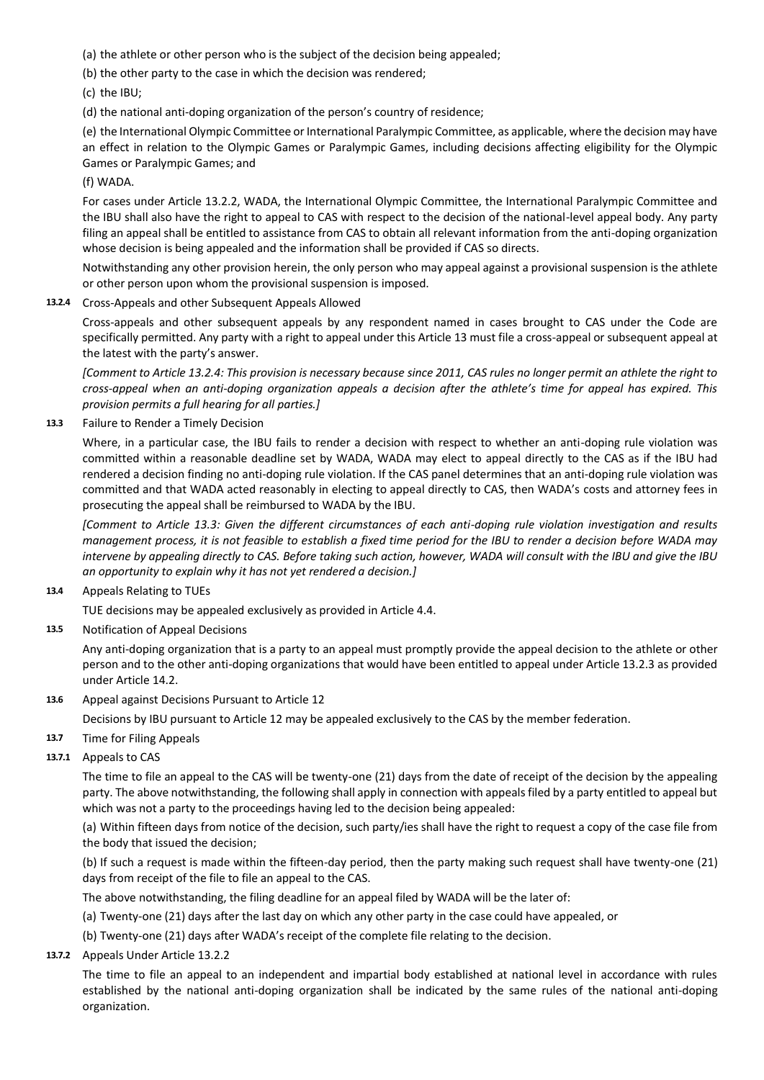(a) the athlete or other person who is the subject of the decision being appealed;

(b) the other party to the case in which the decision was rendered;

(c) the IBU;

(d) the national anti-doping organization of the person's country of residence;

(e) the International Olympic Committee or International Paralympic Committee, as applicable, where the decision may have an effect in relation to the Olympic Games or Paralympic Games, including decisions affecting eligibility for the Olympic Games or Paralympic Games; and

## (f) WADA.

For cases under Article 13.2.2, WADA, the International Olympic Committee, the International Paralympic Committee and the IBU shall also have the right to appeal to CAS with respect to the decision of the national-level appeal body. Any party filing an appeal shall be entitled to assistance from CAS to obtain all relevant information from the anti-doping organization whose decision is being appealed and the information shall be provided if CAS so directs.

Notwithstanding any other provision herein, the only person who may appeal against a provisional suspension is the athlete or other person upon whom the provisional suspension is imposed.

## **13.2.4** Cross-Appeals and other Subsequent Appeals Allowed

Cross-appeals and other subsequent appeals by any respondent named in cases brought to CAS under the Code are specifically permitted. Any party with a right to appeal under this Article 13 must file a cross-appeal or subsequent appeal at the latest with the party's answer.

*[Comment to Article 13.2.4: This provision is necessary because since 2011, CAS rules no longer permit an athlete the right to cross-appeal when an anti-doping organization appeals a decision after the athlete's time for appeal has expired. This provision permits a full hearing for all parties.]*

**13.3** Failure to Render a Timely Decision

Where, in a particular case, the IBU fails to render a decision with respect to whether an anti-doping rule violation was committed within a reasonable deadline set by WADA, WADA may elect to appeal directly to the CAS as if the IBU had rendered a decision finding no anti-doping rule violation. If the CAS panel determines that an anti-doping rule violation was committed and that WADA acted reasonably in electing to appeal directly to CAS, then WADA's costs and attorney fees in prosecuting the appeal shall be reimbursed to WADA by the IBU.

*[Comment to Article 13.3: Given the different circumstances of each anti-doping rule violation investigation and results management process, it is not feasible to establish a fixed time period for the IBU to render a decision before WADA may intervene by appealing directly to CAS. Before taking such action, however, WADA will consult with the IBU and give the IBU an opportunity to explain why it has not yet rendered a decision.]*

# **13.4** Appeals Relating to TUEs

TUE decisions may be appealed exclusively as provided in Article 4.4.

**13.5** Notification of Appeal Decisions

Any anti-doping organization that is a party to an appeal must promptly provide the appeal decision to the athlete or other person and to the other anti-doping organizations that would have been entitled to appeal under Article 13.2.3 as provided under Article 14.2.

**13.6** Appeal against Decisions Pursuant to Article 12

Decisions by IBU pursuant to Article 12 may be appealed exclusively to the CAS by the member federation.

- **13.7** Time for Filing Appeals
- **13.7.1** Appeals to CAS

The time to file an appeal to the CAS will be twenty-one (21) days from the date of receipt of the decision by the appealing party. The above notwithstanding, the following shall apply in connection with appeals filed by a party entitled to appeal but which was not a party to the proceedings having led to the decision being appealed:

(a) Within fifteen days from notice of the decision, such party/ies shall have the right to request a copy of the case file from the body that issued the decision;

(b) If such a request is made within the fifteen-day period, then the party making such request shall have twenty-one (21) days from receipt of the file to file an appeal to the CAS.

The above notwithstanding, the filing deadline for an appeal filed by WADA will be the later of:

(a) Twenty-one (21) days after the last day on which any other party in the case could have appealed, or

(b) Twenty-one (21) days after WADA's receipt of the complete file relating to the decision.

**13.7.2** Appeals Under Article 13.2.2

The time to file an appeal to an independent and impartial body established at national level in accordance with rules established by the national anti-doping organization shall be indicated by the same rules of the national anti-doping organization.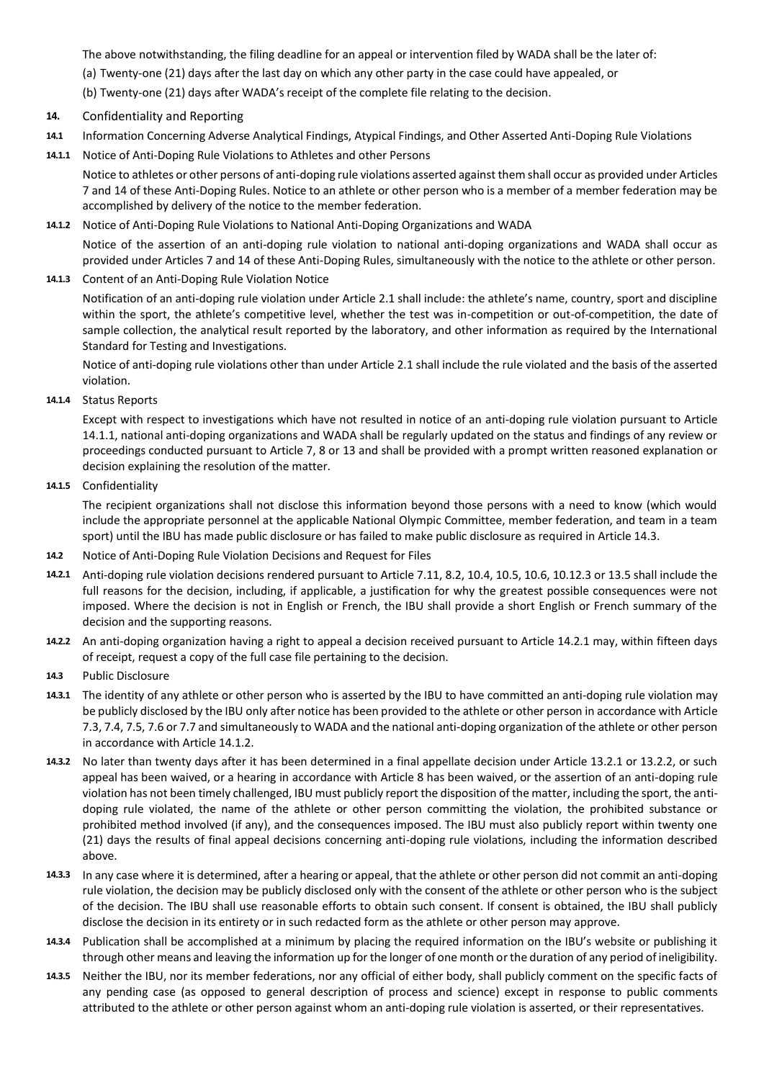The above notwithstanding, the filing deadline for an appeal or intervention filed by WADA shall be the later of:

(a) Twenty-one (21) days after the last day on which any other party in the case could have appealed, or

(b) Twenty-one (21) days after WADA's receipt of the complete file relating to the decision.

- **14.** Confidentiality and Reporting
- **14.1** Information Concerning Adverse Analytical Findings, Atypical Findings, and Other Asserted Anti-Doping Rule Violations
- **14.1.1** Notice of Anti-Doping Rule Violations to Athletes and other Persons

Notice to athletes or other persons of anti-doping rule violations asserted against them shall occur as provided under Articles 7 and 14 of these Anti-Doping Rules. Notice to an athlete or other person who is a member of a member federation may be accomplished by delivery of the notice to the member federation.

**14.1.2** Notice of Anti-Doping Rule Violations to National Anti-Doping Organizations and WADA

Notice of the assertion of an anti-doping rule violation to national anti-doping organizations and WADA shall occur as provided under Articles 7 and 14 of these Anti-Doping Rules, simultaneously with the notice to the athlete or other person.

**14.1.3** Content of an Anti-Doping Rule Violation Notice

Notification of an anti-doping rule violation under Article 2.1 shall include: the athlete's name, country, sport and discipline within the sport, the athlete's competitive level, whether the test was in-competition or out-of-competition, the date of sample collection, the analytical result reported by the laboratory, and other information as required by the International Standard for Testing and Investigations.

Notice of anti-doping rule violations other than under Article 2.1 shall include the rule violated and the basis of the asserted violation.

**14.1.4** Status Reports

Except with respect to investigations which have not resulted in notice of an anti-doping rule violation pursuant to Article 14.1.1, national anti-doping organizations and WADA shall be regularly updated on the status and findings of any review or proceedings conducted pursuant to Article 7, 8 or 13 and shall be provided with a prompt written reasoned explanation or decision explaining the resolution of the matter.

**14.1.5** Confidentiality

The recipient organizations shall not disclose this information beyond those persons with a need to know (which would include the appropriate personnel at the applicable National Olympic Committee, member federation, and team in a team sport) until the IBU has made public disclosure or has failed to make public disclosure as required in Article 14.3.

- **14.2** Notice of Anti-Doping Rule Violation Decisions and Request for Files
- **14.2.1** Anti-doping rule violation decisions rendered pursuant to Article 7.11, 8.2, 10.4, 10.5, 10.6, 10.12.3 or 13.5 shall include the full reasons for the decision, including, if applicable, a justification for why the greatest possible consequences were not imposed. Where the decision is not in English or French, the IBU shall provide a short English or French summary of the decision and the supporting reasons.
- **14.2.2** An anti-doping organization having a right to appeal a decision received pursuant to Article 14.2.1 may, within fifteen days of receipt, request a copy of the full case file pertaining to the decision.
- **14.3** Public Disclosure
- **14.3.1** The identity of any athlete or other person who is asserted by the IBU to have committed an anti-doping rule violation may be publicly disclosed by the IBU only after notice has been provided to the athlete or other person in accordance with Article 7.3, 7.4, 7.5, 7.6 or 7.7 and simultaneously to WADA and the national anti-doping organization of the athlete or other person in accordance with Article 14.1.2.
- **14.3.2** No later than twenty days after it has been determined in a final appellate decision under Article 13.2.1 or 13.2.2, or such appeal has been waived, or a hearing in accordance with Article 8 has been waived, or the assertion of an anti-doping rule violation has not been timely challenged, IBU must publicly report the disposition of the matter, including the sport, the antidoping rule violated, the name of the athlete or other person committing the violation, the prohibited substance or prohibited method involved (if any), and the consequences imposed. The IBU must also publicly report within twenty one (21) days the results of final appeal decisions concerning anti-doping rule violations, including the information described above.
- **14.3.3** In any case where it is determined, after a hearing or appeal, that the athlete or other person did not commit an anti-doping rule violation, the decision may be publicly disclosed only with the consent of the athlete or other person who is the subject of the decision. The IBU shall use reasonable efforts to obtain such consent. If consent is obtained, the IBU shall publicly disclose the decision in its entirety or in such redacted form as the athlete or other person may approve.
- **14.3.4** Publication shall be accomplished at a minimum by placing the required information on the IBU's website or publishing it through other means and leaving the information up for the longer of one month or the duration of any period of ineligibility.
- **14.3.5** Neither the IBU, nor its member federations, nor any official of either body, shall publicly comment on the specific facts of any pending case (as opposed to general description of process and science) except in response to public comments attributed to the athlete or other person against whom an anti-doping rule violation is asserted, or their representatives.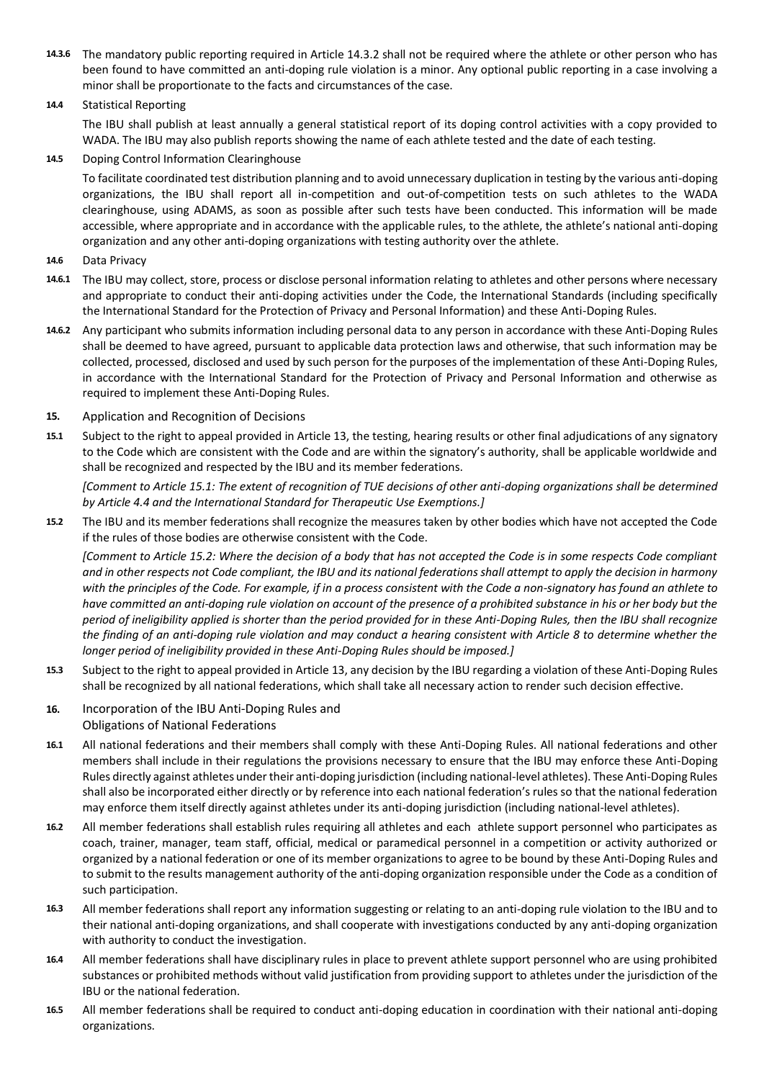- **14.3.6** The mandatory public reporting required in Article 14.3.2 shall not be required where the athlete or other person who has been found to have committed an anti-doping rule violation is a minor. Any optional public reporting in a case involving a minor shall be proportionate to the facts and circumstances of the case.
- **14.4** Statistical Reporting

The IBU shall publish at least annually a general statistical report of its doping control activities with a copy provided to WADA. The IBU may also publish reports showing the name of each athlete tested and the date of each testing.

**14.5** Doping Control Information Clearinghouse

To facilitate coordinated test distribution planning and to avoid unnecessary duplication in testing by the various anti-doping organizations, the IBU shall report all in-competition and out-of-competition tests on such athletes to the WADA clearinghouse, using ADAMS, as soon as possible after such tests have been conducted. This information will be made accessible, where appropriate and in accordance with the applicable rules, to the athlete, the athlete's national anti-doping organization and any other anti-doping organizations with testing authority over the athlete.

- **14.6** Data Privacy
- **14.6.1** The IBU may collect, store, process or disclose personal information relating to athletes and other persons where necessary and appropriate to conduct their anti-doping activities under the Code, the International Standards (including specifically the International Standard for the Protection of Privacy and Personal Information) and these Anti-Doping Rules.
- **14.6.2** Any participant who submits information including personal data to any person in accordance with these Anti-Doping Rules shall be deemed to have agreed, pursuant to applicable data protection laws and otherwise, that such information may be collected, processed, disclosed and used by such person for the purposes of the implementation of these Anti-Doping Rules, in accordance with the International Standard for the Protection of Privacy and Personal Information and otherwise as required to implement these Anti-Doping Rules.
- **15.** Application and Recognition of Decisions
- **15.1** Subject to the right to appeal provided in Article 13, the testing, hearing results or other final adjudications of any signatory to the Code which are consistent with the Code and are within the signatory's authority, shall be applicable worldwide and shall be recognized and respected by the IBU and its member federations.

*[Comment to Article 15.1: The extent of recognition of TUE decisions of other anti-doping organizations shall be determined by Article 4.4 and the International Standard for Therapeutic Use Exemptions.]*

**15.2** The IBU and its member federations shall recognize the measures taken by other bodies which have not accepted the Code if the rules of those bodies are otherwise consistent with the Code.

*[Comment to Article 15.2: Where the decision of a body that has not accepted the Code is in some respects Code compliant and in other respects not Code compliant, the IBU and its national federations shall attempt to apply the decision in harmony with the principles of the Code. For example, if in a process consistent with the Code a non-signatory has found an athlete to have committed an anti-doping rule violation on account of the presence of a prohibited substance in his or her body but the period of ineligibility applied is shorter than the period provided for in these Anti-Doping Rules, then the IBU shall recognize the finding of an anti-doping rule violation and may conduct a hearing consistent with Article 8 to determine whether the longer period of ineligibility provided in these Anti-Doping Rules should be imposed.]*

- **15.3** Subject to the right to appeal provided in Article 13, any decision by the IBU regarding a violation of these Anti-Doping Rules shall be recognized by all national federations, which shall take all necessary action to render such decision effective.
- **16.** Incorporation of the IBU Anti-Doping Rules and Obligations of National Federations
- **16.1** All national federations and their members shall comply with these Anti-Doping Rules. All national federations and other members shall include in their regulations the provisions necessary to ensure that the IBU may enforce these Anti-Doping Rules directly against athletes under their anti-doping jurisdiction (including national-level athletes). These Anti-Doping Rules shall also be incorporated either directly or by reference into each national federation's rules so that the national federation may enforce them itself directly against athletes under its anti-doping jurisdiction (including national-level athletes).
- **16.2** All member federations shall establish rules requiring all athletes and each athlete support personnel who participates as coach, trainer, manager, team staff, official, medical or paramedical personnel in a competition or activity authorized or organized by a national federation or one of its member organizations to agree to be bound by these Anti-Doping Rules and to submit to the results management authority of the anti-doping organization responsible under the Code as a condition of such participation.
- **16.3** All member federations shall report any information suggesting or relating to an anti-doping rule violation to the IBU and to their national anti-doping organizations, and shall cooperate with investigations conducted by any anti-doping organization with authority to conduct the investigation.
- **16.4** All member federations shall have disciplinary rules in place to prevent athlete support personnel who are using prohibited substances or prohibited methods without valid justification from providing support to athletes under the jurisdiction of the IBU or the national federation.
- **16.5** All member federations shall be required to conduct anti-doping education in coordination with their national anti-doping organizations.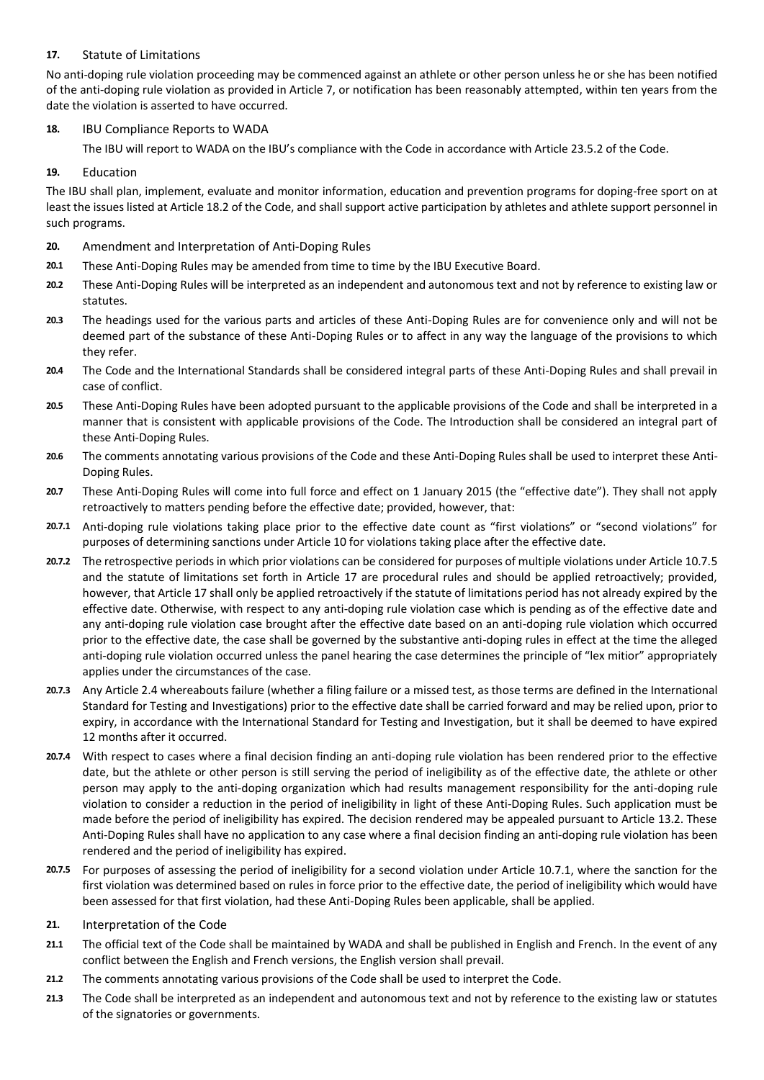# **17.** Statute of Limitations

No anti-doping rule violation proceeding may be commenced against an athlete or other person unless he or she has been notified of the anti-doping rule violation as provided in Article 7, or notification has been reasonably attempted, within ten years from the date the violation is asserted to have occurred.

# **18.** IBU Compliance Reports to WADA

The IBU will report to WADA on the IBU's compliance with the Code in accordance with Article 23.5.2 of the Code.

# **19.** Education

The IBU shall plan, implement, evaluate and monitor information, education and prevention programs for doping-free sport on at least the issues listed at Article 18.2 of the Code, and shall support active participation by athletes and athlete support personnel in such programs.

- **20.** Amendment and Interpretation of Anti-Doping Rules
- **20.1** These Anti-Doping Rules may be amended from time to time by the IBU Executive Board.
- **20.2** These Anti-Doping Rules will be interpreted as an independent and autonomous text and not by reference to existing law or statutes.
- **20.3** The headings used for the various parts and articles of these Anti-Doping Rules are for convenience only and will not be deemed part of the substance of these Anti-Doping Rules or to affect in any way the language of the provisions to which they refer.
- **20.4** The Code and the International Standards shall be considered integral parts of these Anti-Doping Rules and shall prevail in case of conflict.
- **20.5** These Anti-Doping Rules have been adopted pursuant to the applicable provisions of the Code and shall be interpreted in a manner that is consistent with applicable provisions of the Code. The Introduction shall be considered an integral part of these Anti-Doping Rules.
- **20.6** The comments annotating various provisions of the Code and these Anti-Doping Rules shall be used to interpret these Anti-Doping Rules.
- **20.7** These Anti-Doping Rules will come into full force and effect on 1 January 2015 (the "effective date"). They shall not apply retroactively to matters pending before the effective date; provided, however, that:
- **20.7.1** Anti-doping rule violations taking place prior to the effective date count as "first violations" or "second violations" for purposes of determining sanctions under Article 10 for violations taking place after the effective date.
- **20.7.2** The retrospective periods in which prior violations can be considered for purposes of multiple violations under Article 10.7.5 and the statute of limitations set forth in Article 17 are procedural rules and should be applied retroactively; provided, however, that Article 17 shall only be applied retroactively if the statute of limitations period has not already expired by the effective date. Otherwise, with respect to any anti-doping rule violation case which is pending as of the effective date and any anti-doping rule violation case brought after the effective date based on an anti-doping rule violation which occurred prior to the effective date, the case shall be governed by the substantive anti-doping rules in effect at the time the alleged anti-doping rule violation occurred unless the panel hearing the case determines the principle of "lex mitior" appropriately applies under the circumstances of the case.
- **20.7.3** Any Article 2.4 whereabouts failure (whether a filing failure or a missed test, as those terms are defined in the International Standard for Testing and Investigations) prior to the effective date shall be carried forward and may be relied upon, prior to expiry, in accordance with the International Standard for Testing and Investigation, but it shall be deemed to have expired 12 months after it occurred.
- **20.7.4** With respect to cases where a final decision finding an anti-doping rule violation has been rendered prior to the effective date, but the athlete or other person is still serving the period of ineligibility as of the effective date, the athlete or other person may apply to the anti-doping organization which had results management responsibility for the anti-doping rule violation to consider a reduction in the period of ineligibility in light of these Anti-Doping Rules. Such application must be made before the period of ineligibility has expired. The decision rendered may be appealed pursuant to Article 13.2. These Anti-Doping Rules shall have no application to any case where a final decision finding an anti-doping rule violation has been rendered and the period of ineligibility has expired.
- **20.7.5** For purposes of assessing the period of ineligibility for a second violation under Article 10.7.1, where the sanction for the first violation was determined based on rules in force prior to the effective date, the period of ineligibility which would have been assessed for that first violation, had these Anti-Doping Rules been applicable, shall be applied.
- **21.** Interpretation of the Code
- **21.1** The official text of the Code shall be maintained by WADA and shall be published in English and French. In the event of any conflict between the English and French versions, the English version shall prevail.
- **21.2** The comments annotating various provisions of the Code shall be used to interpret the Code.
- **21.3** The Code shall be interpreted as an independent and autonomous text and not by reference to the existing law or statutes of the signatories or governments.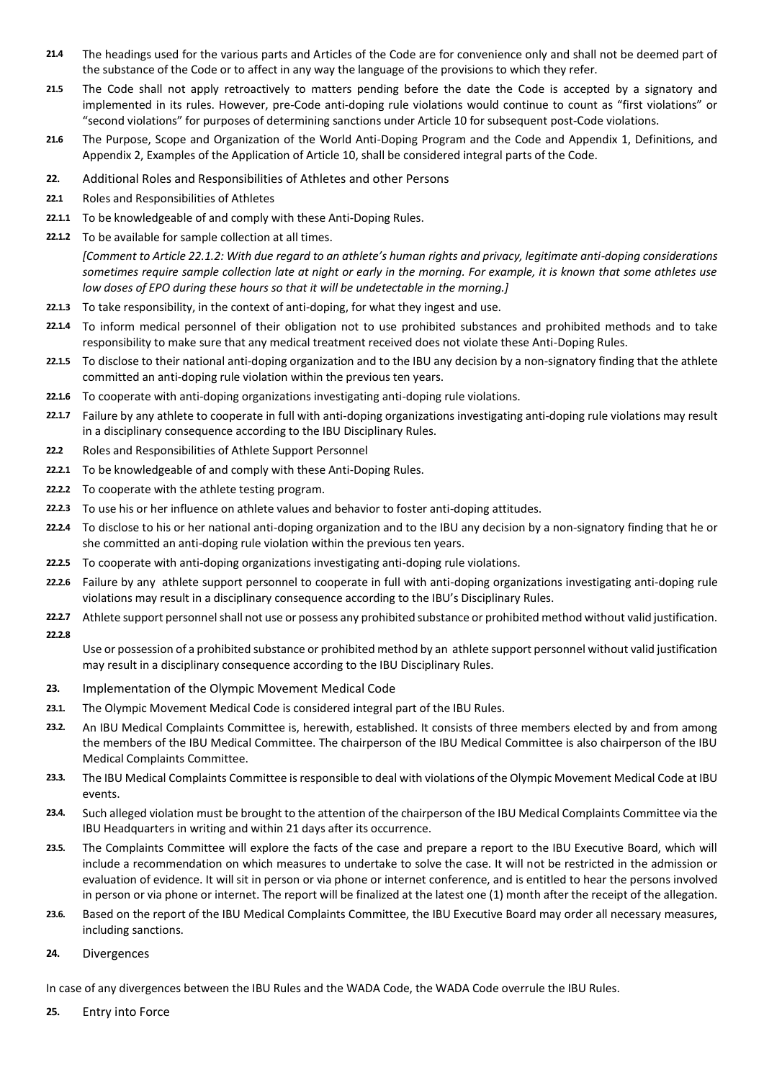- **21.4** The headings used for the various parts and Articles of the Code are for convenience only and shall not be deemed part of the substance of the Code or to affect in any way the language of the provisions to which they refer.
- **21.5** The Code shall not apply retroactively to matters pending before the date the Code is accepted by a signatory and implemented in its rules. However, pre-Code anti-doping rule violations would continue to count as "first violations" or "second violations" for purposes of determining sanctions under Article 10 for subsequent post-Code violations.
- **21.6** The Purpose, Scope and Organization of the World Anti-Doping Program and the Code and Appendix 1, Definitions, and Appendix 2, Examples of the Application of Article 10, shall be considered integral parts of the Code.
- **22.** Additional Roles and Responsibilities of Athletes and other Persons
- **22.1** Roles and Responsibilities of Athletes
- **22.1.1** To be knowledgeable of and comply with these Anti-Doping Rules.
- **22.1.2** To be available for sample collection at all times.

*[Comment to Article 22.1.2: With due regard to an athlete's human rights and privacy, legitimate anti-doping considerations sometimes require sample collection late at night or early in the morning. For example, it is known that some athletes use low doses of EPO during these hours so that it will be undetectable in the morning.]*

- **22.1.3** To take responsibility, in the context of anti-doping, for what they ingest and use.
- **22.1.4** To inform medical personnel of their obligation not to use prohibited substances and prohibited methods and to take responsibility to make sure that any medical treatment received does not violate these Anti-Doping Rules.
- **22.1.5** To disclose to their national anti-doping organization and to the IBU any decision by a non-signatory finding that the athlete committed an anti-doping rule violation within the previous ten years.
- **22.1.6** To cooperate with anti-doping organizations investigating anti-doping rule violations.
- **22.1.7** Failure by any athlete to cooperate in full with anti-doping organizations investigating anti-doping rule violations may result in a disciplinary consequence according to the IBU Disciplinary Rules.
- **22.2** Roles and Responsibilities of Athlete Support Personnel
- **22.2.1** To be knowledgeable of and comply with these Anti-Doping Rules.
- **22.2.2** To cooperate with the athlete testing program.
- **22.2.3** To use his or her influence on athlete values and behavior to foster anti-doping attitudes.
- **22.2.4** To disclose to his or her national anti-doping organization and to the IBU any decision by a non-signatory finding that he or she committed an anti-doping rule violation within the previous ten years.
- **22.2.5** To cooperate with anti-doping organizations investigating anti-doping rule violations.
- **22.2.6** Failure by any athlete support personnel to cooperate in full with anti-doping organizations investigating anti-doping rule violations may result in a disciplinary consequence according to the IBU's Disciplinary Rules.
- **22.2.7** Athlete support personnel shall not use or possess any prohibited substance or prohibited method without valid justification. **22.2.8**

Use or possession of a prohibited substance or prohibited method by an athlete support personnel without valid justification may result in a disciplinary consequence according to the IBU Disciplinary Rules.

- **23.** Implementation of the Olympic Movement Medical Code
- **23.1.** The Olympic Movement Medical Code is considered integral part of the IBU Rules.
- **23.2.** An IBU Medical Complaints Committee is, herewith, established. It consists of three members elected by and from among the members of the IBU Medical Committee. The chairperson of the IBU Medical Committee is also chairperson of the IBU Medical Complaints Committee.
- **23.3.** The IBU Medical Complaints Committee is responsible to deal with violations of the Olympic Movement Medical Code at IBU events.
- **23.4.** Such alleged violation must be brought to the attention of the chairperson of the IBU Medical Complaints Committee via the IBU Headquarters in writing and within 21 days after its occurrence.
- **23.5.** The Complaints Committee will explore the facts of the case and prepare a report to the IBU Executive Board, which will include a recommendation on which measures to undertake to solve the case. It will not be restricted in the admission or evaluation of evidence. It will sit in person or via phone or internet conference, and is entitled to hear the persons involved in person or via phone or internet. The report will be finalized at the latest one (1) month after the receipt of the allegation.
- **23.6.** Based on the report of the IBU Medical Complaints Committee, the IBU Executive Board may order all necessary measures, including sanctions.
- **24.** Divergences

In case of any divergences between the IBU Rules and the WADA Code, the WADA Code overrule the IBU Rules.

**25.** Entry into Force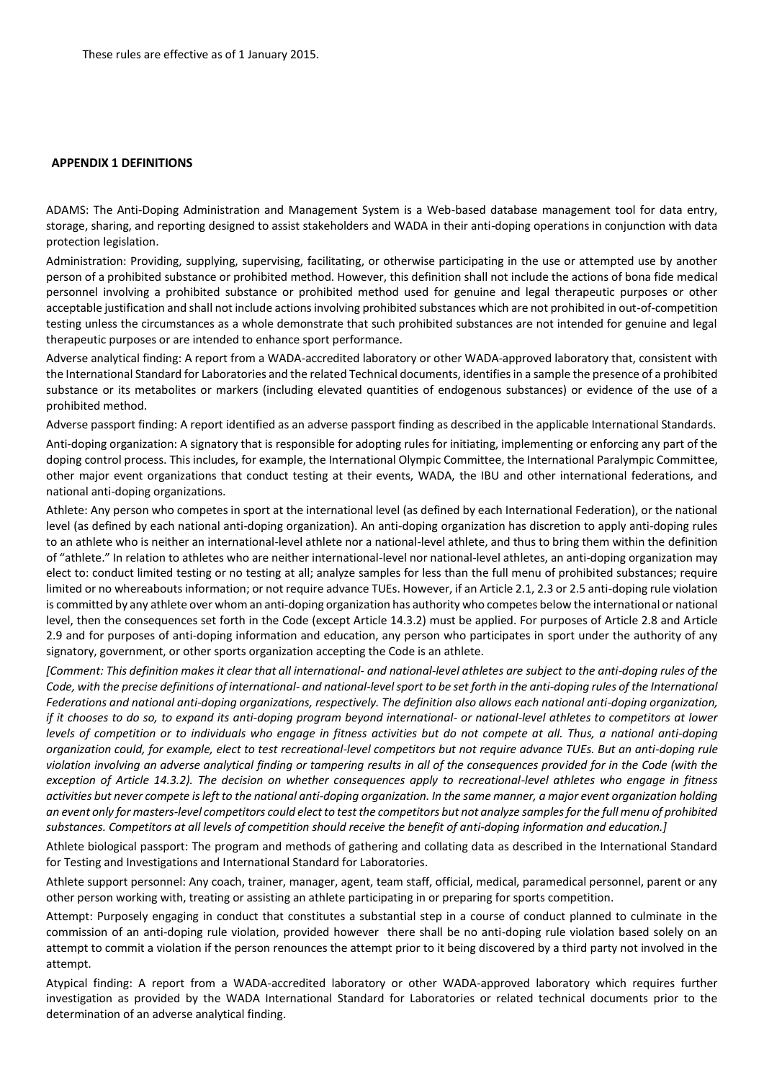### **APPENDIX 1 DEFINITIONS**

ADAMS: The Anti-Doping Administration and Management System is a Web-based database management tool for data entry, storage, sharing, and reporting designed to assist stakeholders and WADA in their anti-doping operations in conjunction with data protection legislation.

Administration: Providing, supplying, supervising, facilitating, or otherwise participating in the use or attempted use by another person of a prohibited substance or prohibited method. However, this definition shall not include the actions of bona fide medical personnel involving a prohibited substance or prohibited method used for genuine and legal therapeutic purposes or other acceptable justification and shall not include actions involving prohibited substances which are not prohibited in out-of-competition testing unless the circumstances as a whole demonstrate that such prohibited substances are not intended for genuine and legal therapeutic purposes or are intended to enhance sport performance.

Adverse analytical finding: A report from a WADA-accredited laboratory or other WADA-approved laboratory that, consistent with the International Standard for Laboratories and the related Technical documents, identifies in a sample the presence of a prohibited substance or its metabolites or markers (including elevated quantities of endogenous substances) or evidence of the use of a prohibited method.

Adverse passport finding: A report identified as an adverse passport finding as described in the applicable International Standards.

Anti-doping organization: A signatory that is responsible for adopting rules for initiating, implementing or enforcing any part of the doping control process. This includes, for example, the International Olympic Committee, the International Paralympic Committee, other major event organizations that conduct testing at their events, WADA, the IBU and other international federations, and national anti-doping organizations.

Athlete: Any person who competes in sport at the international level (as defined by each International Federation), or the national level (as defined by each national anti-doping organization). An anti-doping organization has discretion to apply anti-doping rules to an athlete who is neither an international-level athlete nor a national-level athlete, and thus to bring them within the definition of "athlete." In relation to athletes who are neither international-level nor national-level athletes, an anti-doping organization may elect to: conduct limited testing or no testing at all; analyze samples for less than the full menu of prohibited substances; require limited or no whereabouts information; or not require advance TUEs. However, if an Article 2.1, 2.3 or 2.5 anti-doping rule violation is committed by any athlete over whom an anti-doping organization has authority who competes below the international or national level, then the consequences set forth in the Code (except Article 14.3.2) must be applied. For purposes of Article 2.8 and Article 2.9 and for purposes of anti-doping information and education, any person who participates in sport under the authority of any signatory, government, or other sports organization accepting the Code is an athlete.

*[Comment: This definition makes it clear that all international- and national-level athletes are subject to the anti-doping rules of the Code, with the precise definitions of international- and national-level sport to be set forth in the anti-doping rules of the International Federations and national anti-doping organizations, respectively. The definition also allows each national anti-doping organization, if it chooses to do so, to expand its anti-doping program beyond international- or national-level athletes to competitors at lower levels of competition or to individuals who engage in fitness activities but do not compete at all. Thus, a national anti-doping organization could, for example, elect to test recreational-level competitors but not require advance TUEs. But an anti-doping rule violation involving an adverse analytical finding or tampering results in all of the consequences provided for in the Code (with the exception of Article 14.3.2). The decision on whether consequences apply to recreational-level athletes who engage in fitness activities but never compete is left to the national anti-doping organization. In the same manner, a major event organization holding an event only for masters-level competitors could elect to test the competitors but not analyze samples for the full menu of prohibited substances. Competitors at all levels of competition should receive the benefit of anti-doping information and education.]* 

Athlete biological passport: The program and methods of gathering and collating data as described in the International Standard for Testing and Investigations and International Standard for Laboratories.

Athlete support personnel: Any coach, trainer, manager, agent, team staff, official, medical, paramedical personnel, parent or any other person working with, treating or assisting an athlete participating in or preparing for sports competition.

Attempt: Purposely engaging in conduct that constitutes a substantial step in a course of conduct planned to culminate in the commission of an anti-doping rule violation, provided however there shall be no anti-doping rule violation based solely on an attempt to commit a violation if the person renounces the attempt prior to it being discovered by a third party not involved in the attempt.

Atypical finding: A report from a WADA-accredited laboratory or other WADA-approved laboratory which requires further investigation as provided by the WADA International Standard for Laboratories or related technical documents prior to the determination of an adverse analytical finding.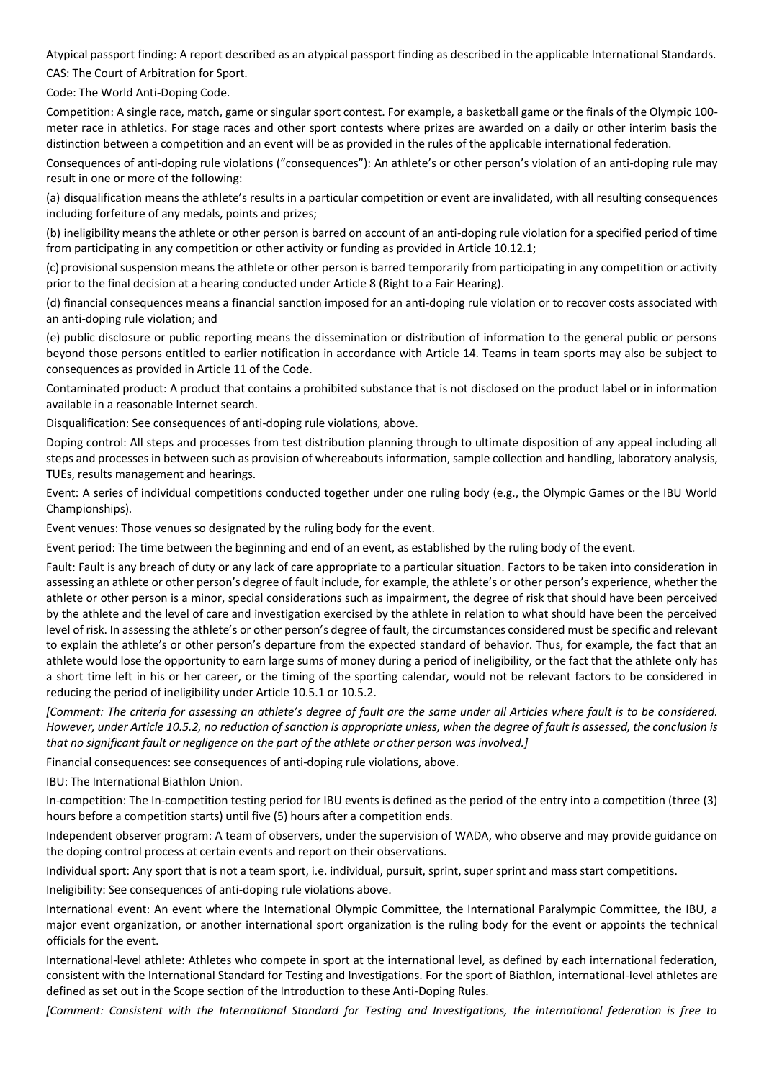Atypical passport finding: A report described as an atypical passport finding as described in the applicable International Standards.

CAS: The Court of Arbitration for Sport.

Code: The World Anti-Doping Code.

Competition: A single race, match, game or singular sport contest. For example, a basketball game or the finals of the Olympic 100 meter race in athletics. For stage races and other sport contests where prizes are awarded on a daily or other interim basis the distinction between a competition and an event will be as provided in the rules of the applicable international federation.

Consequences of anti-doping rule violations ("consequences"): An athlete's or other person's violation of an anti-doping rule may result in one or more of the following:

(a) disqualification means the athlete's results in a particular competition or event are invalidated, with all resulting consequences including forfeiture of any medals, points and prizes;

(b) ineligibility means the athlete or other person is barred on account of an anti-doping rule violation for a specified period of time from participating in any competition or other activity or funding as provided in Article 10.12.1;

(c)provisional suspension means the athlete or other person is barred temporarily from participating in any competition or activity prior to the final decision at a hearing conducted under Article 8 (Right to a Fair Hearing).

(d) financial consequences means a financial sanction imposed for an anti-doping rule violation or to recover costs associated with an anti-doping rule violation; and

(e) public disclosure or public reporting means the dissemination or distribution of information to the general public or persons beyond those persons entitled to earlier notification in accordance with Article 14. Teams in team sports may also be subject to consequences as provided in Article 11 of the Code.

Contaminated product: A product that contains a prohibited substance that is not disclosed on the product label or in information available in a reasonable Internet search.

Disqualification: See consequences of anti-doping rule violations, above.

Doping control: All steps and processes from test distribution planning through to ultimate disposition of any appeal including all steps and processes in between such as provision of whereabouts information, sample collection and handling, laboratory analysis, TUEs, results management and hearings.

Event: A series of individual competitions conducted together under one ruling body (e.g., the Olympic Games or the IBU World Championships).

Event venues: Those venues so designated by the ruling body for the event.

Event period: The time between the beginning and end of an event, as established by the ruling body of the event.

Fault: Fault is any breach of duty or any lack of care appropriate to a particular situation. Factors to be taken into consideration in assessing an athlete or other person's degree of fault include, for example, the athlete's or other person's experience, whether the athlete or other person is a minor, special considerations such as impairment, the degree of risk that should have been perceived by the athlete and the level of care and investigation exercised by the athlete in relation to what should have been the perceived level of risk. In assessing the athlete's or other person's degree of fault, the circumstances considered must be specific and relevant to explain the athlete's or other person's departure from the expected standard of behavior. Thus, for example, the fact that an athlete would lose the opportunity to earn large sums of money during a period of ineligibility, or the fact that the athlete only has a short time left in his or her career, or the timing of the sporting calendar, would not be relevant factors to be considered in reducing the period of ineligibility under Article 10.5.1 or 10.5.2.

*[Comment: The criteria for assessing an athlete's degree of fault are the same under all Articles where fault is to be considered. However, under Article 10.5.2, no reduction of sanction is appropriate unless, when the degree of fault is assessed, the conclusion is that no significant fault or negligence on the part of the athlete or other person was involved.]*

Financial consequences: see consequences of anti-doping rule violations, above.

IBU: The International Biathlon Union.

In-competition: The In-competition testing period for IBU events is defined as the period of the entry into a competition (three (3) hours before a competition starts) until five (5) hours after a competition ends.

Independent observer program: A team of observers, under the supervision of WADA, who observe and may provide guidance on the doping control process at certain events and report on their observations.

Individual sport: Any sport that is not a team sport, i.e. individual, pursuit, sprint, super sprint and mass start competitions.

Ineligibility: See consequences of anti-doping rule violations above.

International event: An event where the International Olympic Committee, the International Paralympic Committee, the IBU, a major event organization, or another international sport organization is the ruling body for the event or appoints the technical officials for the event.

International-level athlete: Athletes who compete in sport at the international level, as defined by each international federation, consistent with the International Standard for Testing and Investigations. For the sport of Biathlon, international-level athletes are defined as set out in the Scope section of the Introduction to these Anti-Doping Rules.

*[Comment: Consistent with the International Standard for Testing and Investigations, the international federation is free to*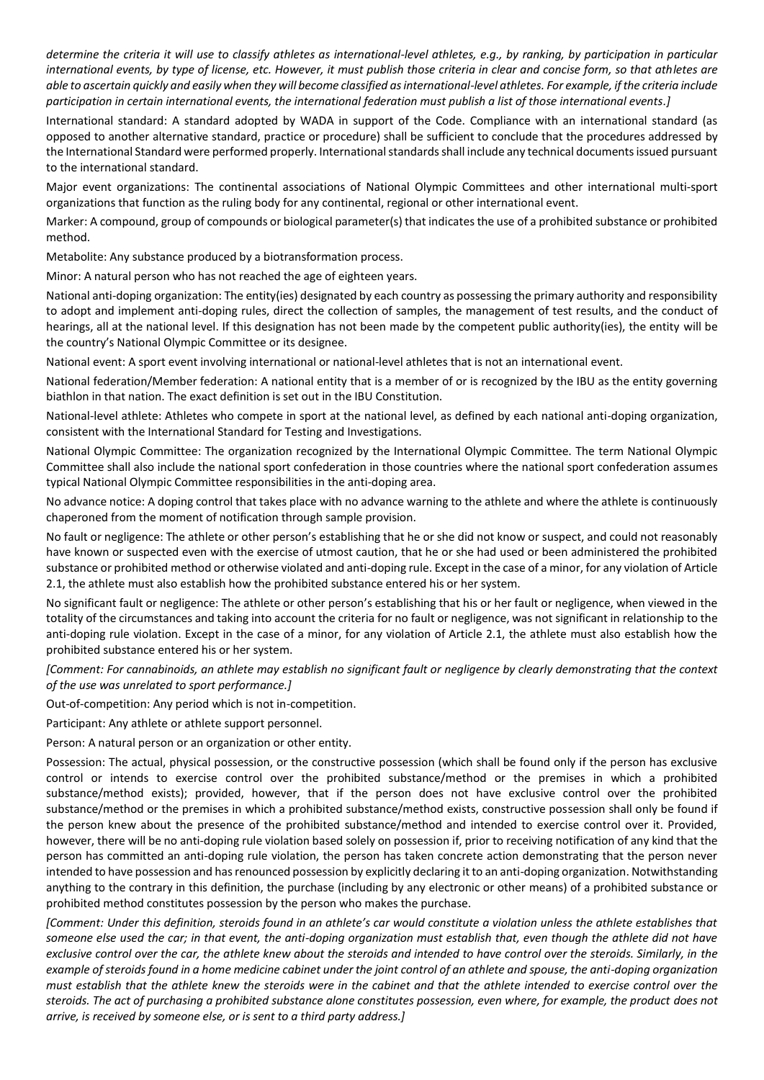*determine the criteria it will use to classify athletes as international-level athletes, e.g., by ranking, by participation in particular international events, by type of license, etc. However, it must publish those criteria in clear and concise form, so that athletes are able to ascertain quickly and easily when they will become classified as international-level athletes. For example, if the criteria include participation in certain international events, the international federation must publish a list of those international events.]*

International standard: A standard adopted by WADA in support of the Code. Compliance with an international standard (as opposed to another alternative standard, practice or procedure) shall be sufficient to conclude that the procedures addressed by the International Standard were performed properly. International standards shall include any technical documents issued pursuant to the international standard.

Major event organizations: The continental associations of National Olympic Committees and other international multi-sport organizations that function as the ruling body for any continental, regional or other international event.

Marker: A compound, group of compounds or biological parameter(s) that indicates the use of a prohibited substance or prohibited method.

Metabolite: Any substance produced by a biotransformation process.

Minor: A natural person who has not reached the age of eighteen years.

National anti-doping organization: The entity(ies) designated by each country as possessing the primary authority and responsibility to adopt and implement anti-doping rules, direct the collection of samples, the management of test results, and the conduct of hearings, all at the national level. If this designation has not been made by the competent public authority(ies), the entity will be the country's National Olympic Committee or its designee.

National event: A sport event involving international or national-level athletes that is not an international event.

National federation/Member federation: A national entity that is a member of or is recognized by the IBU as the entity governing biathlon in that nation. The exact definition is set out in the IBU Constitution.

National-level athlete: Athletes who compete in sport at the national level, as defined by each national anti-doping organization, consistent with the International Standard for Testing and Investigations.

National Olympic Committee: The organization recognized by the International Olympic Committee. The term National Olympic Committee shall also include the national sport confederation in those countries where the national sport confederation assumes typical National Olympic Committee responsibilities in the anti-doping area.

No advance notice: A doping control that takes place with no advance warning to the athlete and where the athlete is continuously chaperoned from the moment of notification through sample provision.

No fault or negligence: The athlete or other person's establishing that he or she did not know or suspect, and could not reasonably have known or suspected even with the exercise of utmost caution, that he or she had used or been administered the prohibited substance or prohibited method or otherwise violated and anti-doping rule. Except in the case of a minor, for any violation of Article 2.1, the athlete must also establish how the prohibited substance entered his or her system.

No significant fault or negligence: The athlete or other person's establishing that his or her fault or negligence, when viewed in the totality of the circumstances and taking into account the criteria for no fault or negligence, was not significant in relationship to the anti-doping rule violation. Except in the case of a minor, for any violation of Article 2.1, the athlete must also establish how the prohibited substance entered his or her system.

*[Comment: For cannabinoids, an athlete may establish no significant fault or negligence by clearly demonstrating that the context of the use was unrelated to sport performance.]*

Out-of-competition: Any period which is not in-competition.

Participant: Any athlete or athlete support personnel.

Person: A natural person or an organization or other entity.

Possession: The actual, physical possession, or the constructive possession (which shall be found only if the person has exclusive control or intends to exercise control over the prohibited substance/method or the premises in which a prohibited substance/method exists); provided, however, that if the person does not have exclusive control over the prohibited substance/method or the premises in which a prohibited substance/method exists, constructive possession shall only be found if the person knew about the presence of the prohibited substance/method and intended to exercise control over it. Provided, however, there will be no anti-doping rule violation based solely on possession if, prior to receiving notification of any kind that the person has committed an anti-doping rule violation, the person has taken concrete action demonstrating that the person never intended to have possession and has renounced possession by explicitly declaring it to an anti-doping organization. Notwithstanding anything to the contrary in this definition, the purchase (including by any electronic or other means) of a prohibited substance or prohibited method constitutes possession by the person who makes the purchase.

*[Comment: Under this definition, steroids found in an athlete's car would constitute a violation unless the athlete establishes that someone else used the car; in that event, the anti-doping organization must establish that, even though the athlete did not have exclusive control over the car, the athlete knew about the steroids and intended to have control over the steroids. Similarly, in the example of steroids found in a home medicine cabinet under the joint control of an athlete and spouse, the anti-doping organization must establish that the athlete knew the steroids were in the cabinet and that the athlete intended to exercise control over the steroids. The act of purchasing a prohibited substance alone constitutes possession, even where, for example, the product does not arrive, is received by someone else, or is sent to a third party address.]*